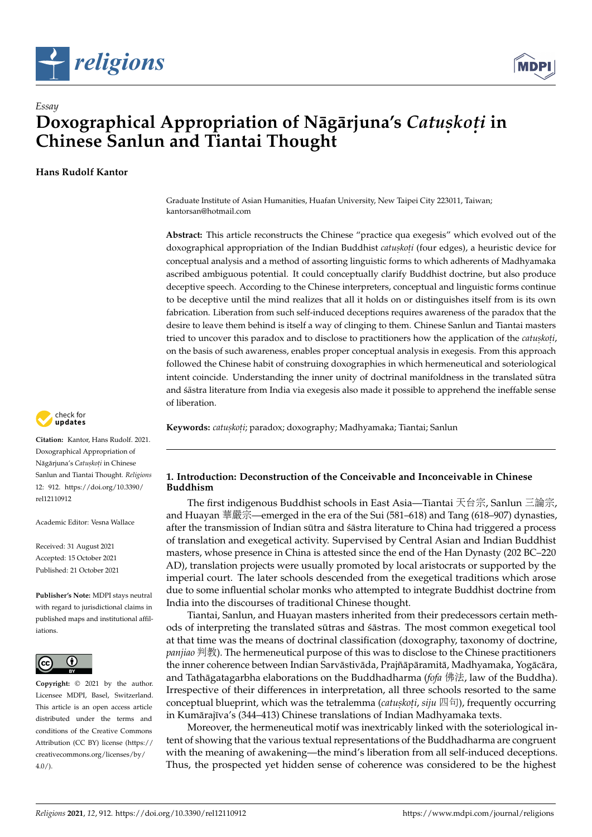



# *Essay* **Doxographical Appropriation of Nāgārjuna's Catuskoti in Chinese Sanlun and Tiantai Thought**

**Hans Rudolf Kantor**

Graduate Institute of Asian Humanities, Huafan University, New Taipei City 223011, Taiwan; kantorsan@hotmail.com

**Abstract:** This article reconstructs the Chinese "practice qua exegesis" which evolved out of the doxographical appropriation of the Indian Buddhist *catuskoti* (four edges), a heuristic device for conceptual analysis and a method of assorting linguistic forms to which adherents of Madhyamaka ascribed ambiguous potential. It could conceptually clarify Buddhist doctrine, but also produce deceptive speech. According to the Chinese interpreters, conceptual and linguistic forms continue to be deceptive until the mind realizes that all it holds on or distinguishes itself from is its own fabrication. Liberation from such self-induced deceptions requires awareness of the paradox that the desire to leave them behind is itself a way of clinging to them. Chinese Sanlun and Tiantai masters tried to uncover this paradox and to disclose to practitioners how the application of the *catuskoti*, on the basis of such awareness, enables proper conceptual analysis in exegesis. From this approach followed the Chinese habit of construing doxographies in which hermeneutical and soteriological intent coincide. Understanding the inner unity of doctrinal manifoldness in the translated sūtra and *śāstra literature from India via exegesis also made it possible to apprehend the ineffable sense* of liberation.

**Keywords:** *catus. kot. i*; paradox; doxography; Madhyamaka; Tiantai; Sanlun

### **1. Introduction: Deconstruction of the Conceivable and Inconceivable in Chinese Buddhism**

The first indigenous Buddhist schools in East Asia—Tiantai 天台宗, Sanlun <sup>三</sup>論宗, and Huayan 華嚴宗—emerged in the era of the Sui (581–618) and Tang (618–907) dynasties, after the transmission of Indian sūtra and sāstra literature to China had triggered a process of translation and exegetical activity. Supervised by Central Asian and Indian Buddhist masters, whose presence in China is attested since the end of the Han Dynasty (202 BC–220 AD), translation projects were usually promoted by local aristocrats or supported by the imperial court. The later schools descended from the exegetical traditions which arose due to some influential scholar monks who attempted to integrate Buddhist doctrine from India into the discourses of traditional Chinese thought.

Tiantai, Sanlun, and Huayan masters inherited from their predecessors certain methods of interpreting the translated sutras and sastras. The most common exegetical tool at that time was the means of doctrinal classification (doxography, taxonomy of doctrine, *panjiao* 判教). The hermeneutical purpose of this was to disclose to the Chinese practitioners the inner coherence between Indian Sarvāstivāda, Prajñā pāramitā, Madhyamaka, Yogā cāra, and Tathāgatagarbha elaborations on the Buddhadharma (*fofa* 佛法, law of the Buddha). Irrespective of their differences in interpretation, all three schools resorted to the same conceptual blueprint, which was the tetralemma (*catuskoti, siju* 四句), frequently occurring<br>in Kumārajīva's (344, 413) Chinese translations of Indian Madhyamaka texts in Kumārajīva's (344–413) Chinese translations of Indian Madhyamaka texts.

Moreover, the hermeneutical motif was inextricably linked with the soteriological intent of showing that the various textual representations of the Buddhadharma are congruent with the meaning of awakening—the mind's liberation from all self-induced deceptions. Thus, the prospected yet hidden sense of coherence was considered to be the highest



**Citation:** Kantor, Hans Rudolf. 2021. Doxographical Appropriation of Nag¯ arjuna's ¯ *Catus. kot. i* in Chinese Sanlun and Tiantai Thought. *Religions* 12: 912. [https://doi.org/10.3390/](https://doi.org/10.3390/rel12110912) [rel12110912](https://doi.org/10.3390/rel12110912)

Academic Editor: Vesna Wallace

Received: 31 August 2021 Accepted: 15 October 2021 Published: 21 October 2021

**Publisher's Note:** MDPI stays neutral with regard to jurisdictional claims in published maps and institutional affiliations.



**Copyright:** © 2021 by the author. Licensee MDPI, Basel, Switzerland. This article is an open access article distributed under the terms and conditions of the Creative Commons Attribution (CC BY) license (https:/[/](https://creativecommons.org/licenses/by/4.0/) [creativecommons.org/licenses/by/](https://creativecommons.org/licenses/by/4.0/)  $4.0/$ ).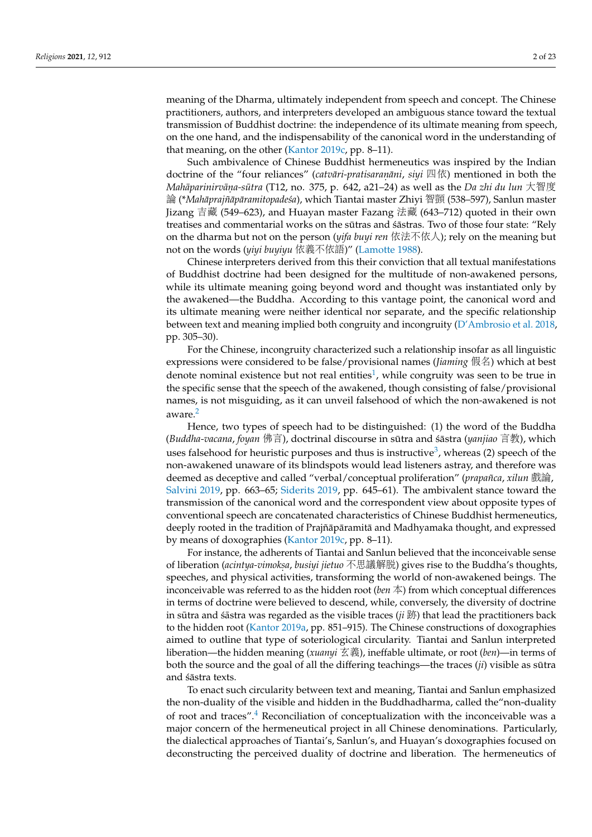meaning of the Dharma, ultimately independent from speech and concept. The Chinese practitioners, authors, and interpreters developed an ambiguous stance toward the textual transmission of Buddhist doctrine: the independence of its ultimate meaning from speech, on the one hand, and the indispensability of the canonical word in the understanding of that meaning, on the other [\(Kantor](#page-22-0) [2019c,](#page-22-0) pp. 8–11).

Such ambivalence of Chinese Buddhist hermeneutics was inspired by the Indian doctrine of the "four reliances" (*catvāri-pratisaraṇāni, siyi* 四依) mentioned in both the Makingwinity  $\bar{q}$   $\bar{q}$   $\bar{q}$   $\bar{q}$   $\bar{q}$   $\bar{q}$   $\bar{q}$   $\bar{q}$   $\bar{q}$   $\bar{q}$   $\bar{q}$   $\bar{q}$   $\bar{q}$   $\bar{q}$   $\bar{q$ *Mahāparinirvāna-sūtra* (T12, no. 375, p. 642, a21–24) as well as the *Da zhi du lun* 大智度<br>論 (\*Mahānraiĝānāramitonadeéa), which Tiantai mastor Zhivi 翅間 (538–597), Sanlun mastor 論 (\*Mahāprajñāpāramitopadeśa), which Tiantai master Zhiyi 智顗 (538–597), Sanlun master Jizang 吉藏 (549–623), and Huayan master Fazang 法藏 (643–712) quoted in their own treatises and commentarial works on the sūtras and  $\acute{s}$  astras. Two of those four state: "Rely on the dharma but not on the person (*yifa buyi ren* 依法不依人); rely on the meaning but not on the words (*yiyi buyiyu* 依義不依語)" [\(Lamotte](#page-22-1) [1988\)](#page-22-1).

Chinese interpreters derived from this their conviction that all textual manifestations of Buddhist doctrine had been designed for the multitude of non-awakened persons, while its ultimate meaning going beyond word and thought was instantiated only by the awakened—the Buddha. According to this vantage point, the canonical word and its ultimate meaning were neither identical nor separate, and the specific relationship between text and meaning implied both congruity and incongruity [\(D'Ambrosio et al.](#page-21-0) [2018,](#page-21-0) pp. 305–30).

<span id="page-1-0"></span>For the Chinese, incongruity characterized such a relationship insofar as all linguistic expressions were considered to be false/provisional names (*Jiaming* 假名) which at best denote nominal existence but not real entities<sup>[1](#page-18-0)</sup>, while congruity was seen to be true in the specific sense that the speech of the awakened, though consisting of false/provisional names, is not misguiding, as it can unveil falsehood of which the non-awakened is not aware.[2](#page-18-1)

<span id="page-1-2"></span><span id="page-1-1"></span>Hence, two types of speech had to be distinguished: (1) the word of the Buddha (*Buddha-vacana, foyan* 佛言), doctrinal discourse in sūtra and śāstra (*yanjiao* 言教), which uses falsehood for heuristic purposes and thus is instructive<sup>[3](#page-18-2)</sup>, whereas (2) speech of the non-awakened unaware of its blindspots would lead listeners astray, and therefore wa[s](#page-22-2) deemed as deceptive and called "verbal/conceptual proliferation" (*prapañca*, *xilun* 戲論, [Salvini](#page-22-2) [2019,](#page-22-2) pp. 663–65; [Siderits](#page-22-3) [2019,](#page-22-3) pp. 645–61). The ambivalent stance toward the transmission of the canonical word and the correspondent view about opposite types of conventional speech are concatenated characteristics of Chinese Buddhist hermeneutics, deeply rooted in the tradition of Prajñāpāramitā and Madhyamaka thought, and expressed by means of doxographies [\(Kantor](#page-22-0) [2019c,](#page-22-0) pp. 8–11).

For instance, the adherents of Tiantai and Sanlun believed that the inconceivable sense of liberation (*acintya-vimokṣa*, *busiyi jietuo* 不思議解脱) gives rise to the Buddha's thoughts,<br>speeches, and physical activities, transforming the world of non-awakened beings. The speeches, and physical activities, transforming the world of non-awakened beings. The inconceivable was referred to as the hidden root (*ben* 本) from which conceptual differences in terms of doctrine were believed to descend, while, conversely, the diversity of doctrine in sutra and *sastra was regarded as the visible traces (* $ii$  $\hat{m}$ *)* that lead the practitioners back to the hidden root [\(Kantor](#page-21-1) [2019a,](#page-21-1) pp. 851–915). The Chinese constructions of doxographies aimed to outline that type of soteriological circularity. Tiantai and Sanlun interpreted liberation—the hidden meaning (*xuanyi* 玄義), ineffable ultimate, or root (*ben*)—in terms of both the source and the goal of all the differing teachings—the traces (*ji*) visible as sūtra and śāstra texts.

<span id="page-1-3"></span>To enact such circularity between text and meaning, Tiantai and Sanlun emphasized the non-duality of the visible and hidden in the Buddhadharma, called the"non-duality of root and traces".[4](#page-18-3) Reconciliation of conceptualization with the inconceivable was a major concern of the hermeneutical project in all Chinese denominations. Particularly, the dialectical approaches of Tiantai's, Sanlun's, and Huayan's doxographies focused on deconstructing the perceived duality of doctrine and liberation. The hermeneutics of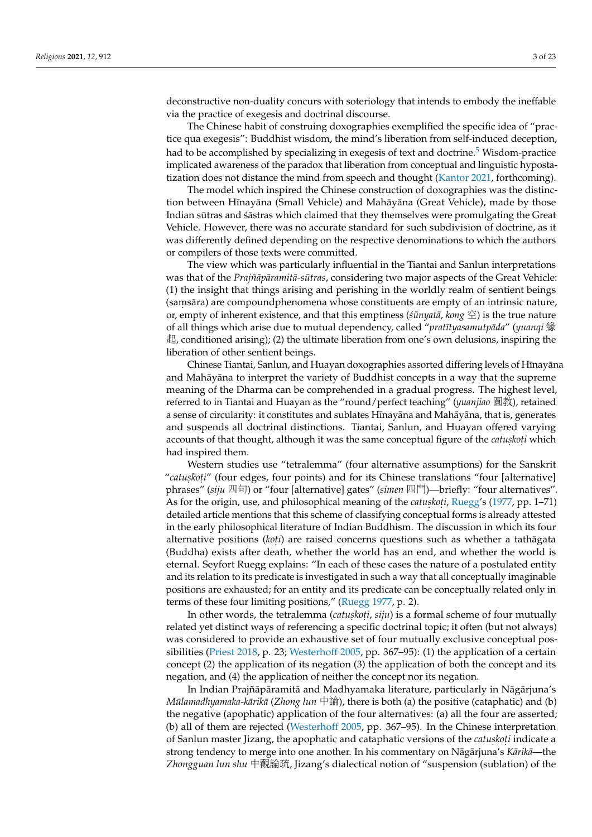deconstructive non-duality concurs with soteriology that intends to embody the ineffable via the practice of exegesis and doctrinal discourse.

<span id="page-2-0"></span>The Chinese habit of construing doxographies exemplified the specific idea of "practice qua exegesis": Buddhist wisdom, the mind's liberation from self-induced deception, had to be accomplished by specializing in exegesis of text and doctrine.<sup>[5](#page-18-4)</sup> Wisdom-practice implicated awareness of the paradox that liberation from conceptual and linguistic hypostatization does not distance the mind from speech and thought [\(Kantor](#page-22-4) [2021,](#page-22-4) forthcoming).

The model which inspired the Chinese construction of doxographies was the distinction between Hīnayāna (Small Vehicle) and Mahāyāna (Great Vehicle), made by those Indian sūtras and *šāstras which claimed that they themselves were promulgating the Great* Vehicle. However, there was no accurate standard for such subdivision of doctrine, as it was differently defined depending on the respective denominations to which the authors or compilers of those texts were committed.

The view which was particularly influential in the Tiantai and Sanlun interpretations was that of the *Prajñāpāramitā-sūtras*, considering two major aspects of the Great Vehicle: (1) the insight that things arising and perishing in the worldly realm of sentient beings (saṃsāra) are compoundphenomena whose constituents are empty of an intrinsic nature, or, empty of inherent existence, and that this emptiness ( $\sin \theta$ *ata*,  $\cos \mathcal{L}$ ) is the true nature of all things which arise due to mutual dependency, called "*pratītyasamutpāda"* (*yuanqi* 緣 起, conditioned arising); (2) the ultimate liberation from one's own delusions, inspiring the liberation of other sentient beings.

Chinese Tiantai, Sanlun, and Huayan doxographies assorted differing levels of Hīnayāna and Mahāyāna to interpret the variety of Buddhist concepts in a way that the supreme meaning of the Dharma can be comprehended in a gradual progress. The highest level, referred to in Tiantai and Huayan as the "round/perfect teaching" (*yuanjiao* 圓教), retained a sense of circularity: it constitutes and sublates Hīnayāna and Mahāyāna, that is, generates and suspends all doctrinal distinctions. Tiantai, Sanlun, and Huayan offered varying accounts of that thought, although it was the same conceptual figure of the *catuskoti* which had inspired them.

Western studies use "tetralemma" (four alternative assumptions) for the Sanskrit "*catuskoti"* (four edges, four points) and for its Chinese translations "four [alternative] phrases" (*siju* <sup>四</sup>句) or "four [alternative] gates" (*simen* <sup>四</sup>門)—briefly: "four alternatives". As for the origin, use, and philosophical meaning of the *catuskoti*, [Ruegg'](#page-22-5)s [\(1977,](#page-22-5) pp. 1–71) detailed article mentions that this scheme of classifying conceptual forms is already attested in the early philosophical literature of Indian Buddhism. The discussion in which its four alternative positions (*koti*) are raised concerns questions such as whether a tathagata (Buddha) exists after death, whether the world has an end, and whether the world is eternal. Seyfort Ruegg explains: "In each of these cases the nature of a postulated entity and its relation to its predicate is investigated in such a way that all conceptually imaginable positions are exhausted; for an entity and its predicate can be conceptually related only in terms of these four limiting positions," [\(Ruegg](#page-22-5) [1977,](#page-22-5) p. 2).

In other words, the tetralemma (*catuṣkoṭi, siju*) is a formal scheme of four mutually related yet distinct ways of referencing a specific doctrinal topic; it often (but not always) was considered to provide an exhaustive set of four mutually exclusive conceptual possibilities [\(Priest](#page-22-6) [2018,](#page-22-6) p. 23; [Westerhoff](#page-22-7) [2005,](#page-22-7) pp. 367–95): (1) the application of a certain concept (2) the application of its negation (3) the application of both the concept and its negation, and (4) the application of neither the concept nor its negation.

In Indian Prajñā pāramitā and Madhyamaka literature, particularly in Nāgārjuna's *Mūlamadhyamaka-kārikā* (*Zhong lun* 中論), there is both (a) the positive (cataphatic) and (b) the negative (apophatic) application of the four alternatives: (a) all the four are asserted; (b) all of them are rejected [\(Westerhoff](#page-22-7) [2005,](#page-22-7) pp. 367–95). In the Chinese interpretation of Sanlun master Jizang, the apophatic and cataphatic versions of the *catuskoti* indicate a strong tendency to merge into one another. In his commentary on Nāgārjuna's *Kārikā*—the *Zhongguan lun shu* <sup>中</sup>觀論疏, Jizang's dialectical notion of "suspension (sublation) of the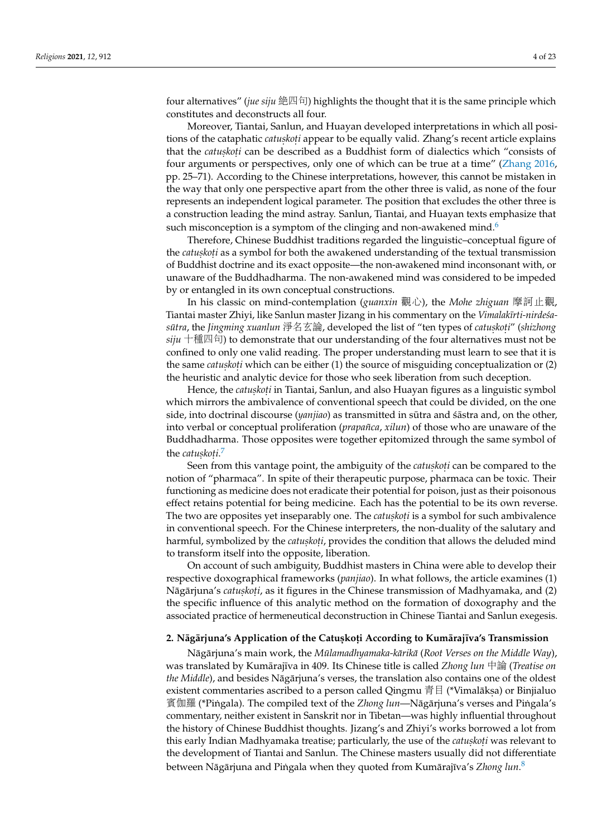four alternatives" (*jue siju* 絶四句) highlights the thought that it is the same principle which constitutes and deconstructs all four.

Moreover, Tiantai, Sanlun, and Huayan developed interpretations in which all positions of the cataphatic *catuskoti* appear to be equally valid. Zhang's recent article explains that the *catuskoti* can be described as a Buddhist form of dialectics which "consists of four arguments or perspectives, only one of which can be true at a time" [\(Zhang](#page-22-8) [2016,](#page-22-8) pp. 25–71). According to the Chinese interpretations, however, this cannot be mistaken in the way that only one perspective apart from the other three is valid, as none of the four represents an independent logical parameter. The position that excludes the other three is a construction leading the mind astray. Sanlun, Tiantai, and Huayan texts emphasize that such misconception is a symptom of the clinging and non-awakened mind. $6$ 

<span id="page-3-0"></span>Therefore, Chinese Buddhist traditions regarded the linguistic–conceptual figure of the *catuskoți* as a symbol for both the awakened understanding of the textual transmission of Buddhist doctrine and its exact opposite—the non-awakened mind inconsonant with, or unaware of the Buddhadharma. The non-awakened mind was considered to be impeded by or entangled in its own conceptual constructions.

In his classic on mind-contemplation (*guanxin* 觀心), the *Mohe zhiguan* <sup>摩</sup>訶止觀, Tiantai master Zhiyi, like Sanlun master Jizang in his commentary on the *Vimalakīrti-nirde* sa $s\bar{u}$ tra, the *Jingming xuanlun* 淨名玄論, developed the list of "ten types of *catuskoti"* (*shizhong*  $\vec{si}$  +種四句) to demonstrate that our understanding of the four alternatives must not be confined to only one valid reading. The proper understanding must learn to see that it is the same *catuskoti* which can be either (1) the source of misguiding conceptualization or (2) the heuristic and analytic device for those who seek liberation from such deception.

Hence, the *catuskoți* in Tiantai, Sanlun, and also Huayan figures as a linguistic symbol which mirrors the ambivalence of conventional speech that could be divided, on the one side, into doctrinal discourse (*yanjiao*) as transmitted in sutra and sastra and, on the other, into verbal or conceptual proliferation (*prapañca*, *xilun*) of those who are unaware of the Buddhadharma. Those opposites were together epitomized through the same symbol of the *catuskoti*.<sup>[7](#page-18-6)</sup>

<span id="page-3-1"></span>Seen from this vantage point, the ambiguity of the *catuskoti* can be compared to the notion of "pharmaca". In spite of their therapeutic purpose, pharmaca can be toxic. Their functioning as medicine does not eradicate their potential for poison, just as their poisonous effect retains potential for being medicine. Each has the potential to be its own reverse. The two are opposites yet inseparably one. The *catuskoti* is a symbol for such ambivalence in conventional speech. For the Chinese interpreters, the non-duality of the salutary and harmful, symbolized by the *catuskoti*, provides the condition that allows the deluded mind to transform itself into the opposite, liberation.

On account of such ambiguity, Buddhist masters in China were able to develop their respective doxographical frameworks (*panjiao*). In what follows, the article examines (1) Nāgārjuna's *catuṣkoṭi,* as it figures in the Chinese transmission of Madhyamaka, and (2) the specific influence of this analytic method on the formation of doxography and the associated practice of hermeneutical deconstruction in Chinese Tiantai and Sanlun exegesis.

## **2. Nag¯ arjuna's Application of the Catus ¯ .kot . i According to Kumaraj ¯ ¯ıva's Transmission**

<span id="page-3-2"></span>Nāgārjuna's main work, the Mūlamadhyamaka-kārikā (Root Verses on the Middle Way), was translated by Kumārajīva in 409. Its Chinese title is called *Zhong lun* 中論 (*Treatise on the Middle*), and besides Nāgārjuna's verses, the translation also contains one of the oldest existent commentaries ascribed to a person called Qingmu 青目 (\*Vimalākṣa) or Binjialuo<br>賓伽羅 (\*Piṇgala). The compiled toxt of the Zhoug lung Nāgāriuna's versos and Piṇgala's 賓伽羅 (\*Pingala). The compiled text of the *Zhong lun*—Nāgārjuna's verses and Pingala's commentary, neither existent in Sanskrit nor in Tibetan—was highly influential throughout the history of Chinese Buddhist thoughts. Jizang's and Zhiyi's works borrowed a lot from this early Indian Madhyamaka treatise; particularly, the use of the *catuskoți w*as relevant to the development of Tiantai and Sanlun. The Chinese masters usually did not differentiate between Nāgārjuna and Piṅgala when they quoted from Kumārajīva's Z*hong lun*.<sup>[8](#page-18-7)</sup>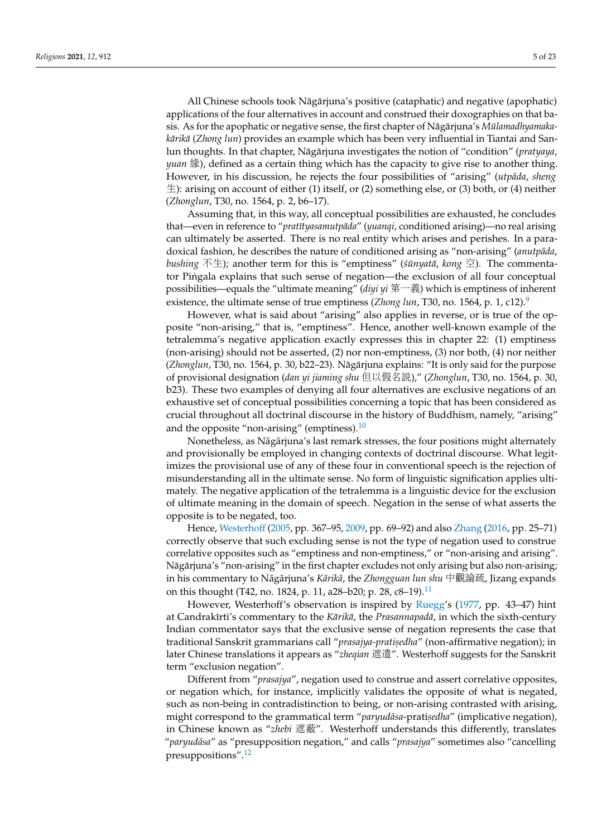All Chinese schools took Nāgārjuna's positive (cataphatic) and negative (apophatic) applications of the four alternatives in account and construed their doxographies on that basis. As for the apophatic or negative sense, the first chapter of Nāgārjuna's *Mūlamadhyamakakārikā* (Zhong lun) provides an example which has been very influential in Tiantai and Sanlun thoughts. In that chapter, Nāgārjuna investigates the notion of "condition" (*pratyaya*, *yuan* 緣), defined as a certain thing which has the capacity to give rise to another thing. However, in his discussion, he rejects the four possibilities of "arising" (utpāda, sheng  $\pm$ ): arising on account of either (1) itself, or (2) something else, or (3) both, or (4) neither (*Zhonglun*, T30, no. 1564, p. 2, b6–17).

Assuming that, in this way, all conceptual possibilities are exhausted, he concludes that—even in reference to "pratītyasamutpāda" (yuanqi, conditioned arising)—no real arising can ultimately be asserted. There is no real entity which arises and perishes. In a paradoxical fashion, he describes the nature of conditioned arising as "non-arising" (*anutpāda*, *bushing* 不生); another term for this is "emptiness" ( $\sin \eta$  *ata*,  $\cos \mathfrak{D}$ ). The commentator Pingala explains that such sense of negation—the exclusion of all four conceptual possibilities—equals the "ultimate meaning" (*diyi yi* 第一義) which is emptiness of inherent existence, the ultimate sense of true emptiness (*Zhong lun*, T30, no. 1564, p. 1, c12).<sup>[9](#page-19-0)</sup>

<span id="page-4-0"></span>However, what is said about "arising" also applies in reverse, or is true of the opposite "non-arising," that is, "emptiness". Hence, another well-known example of the tetralemma's negative application exactly expresses this in chapter 22: (1) emptiness (non-arising) should not be asserted, (2) nor non-emptiness, (3) nor both, (4) nor neither (*Zhonglun*, T30, no. 1564, p. 30, b22–23). Nāgārjuna explains: "It is only said for the purpose of provisional designation (*dan yi jiaming shu* 但以假名說)," (*Zhonglun*, T30, no. 1564, p. 30, b23). These two examples of denying all four alternatives are exclusive negations of an exhaustive set of conceptual possibilities concerning a topic that has been considered as crucial throughout all doctrinal discourse in the history of Buddhism, namely, "arising" and the opposite "non-arising" (emptiness).<sup>[10](#page-19-1)</sup>

<span id="page-4-1"></span>Nonetheless, as Nāgārjuna's last remark stresses, the four positions might alternately and provisionally be employed in changing contexts of doctrinal discourse. What legitimizes the provisional use of any of these four in conventional speech is the rejection of misunderstanding all in the ultimate sense. No form of linguistic signification applies ultimately. The negative application of the tetralemma is a linguistic device for the exclusion of ultimate meaning in the domain of speech. Negation in the sense of what asserts the opposite is to be negated, too.

Hence, [Westerhoff](#page-22-7) [\(2005,](#page-22-7) pp. 367–95, [2009,](#page-22-9) pp. 69–92) and also [Zhang](#page-22-8) [\(2016,](#page-22-8) pp. 25–71) correctly observe that such excluding sense is not the type of negation used to construe correlative opposites such as "emptiness and non-emptiness," or "non-arising and arising". Nāgārjuna's "non-arising" in the first chapter excludes not only arising but also non-arising; in his commentary to Nāgārjuna's *Kārikā*, the *Zhongguan lun shu* 中觀論疏, Jizang expands on this thought (T42, no. 1824, p. [11](#page-19-2), a28–b20; p. 28, c8–19).<sup>11</sup>

<span id="page-4-2"></span>However, Westerhoff's observation is inspired by [Ruegg'](#page-22-5)s [\(1977,](#page-22-5) pp. 43–47) hint at Candrakīrti's commentary to the *Kārikā*, the *Prasannapadā*, in which the sixth-century Indian commentator says that the exclusive sense of negation represents the case that traditional Sanskrit grammarians call "*prasajya-pratisedha"* (non-affirmative negation); in later Chinese translations it appears as "*zheqian* 遮遣". Westerhoff suggests for the Sanskrit term "exclusion negation".

<span id="page-4-3"></span>Different from "*prasajya*", negation used to construe and assert correlative opposites, or negation which, for instance, implicitly validates the opposite of what is negated, such as non-being in contradistinction to being, or non-arising contrasted with arising, might correspond to the grammatical term "*paryudāsa-*pratisedha" (implicative negation), in Chinese known as "*zhebi* 遮蔽". Westerhoff understands this differently, translates "*paryudasa ¯* " as "presupposition negation," and calls "*prasajya*" sometimes also "cancelling presuppositions".[12](#page-19-3)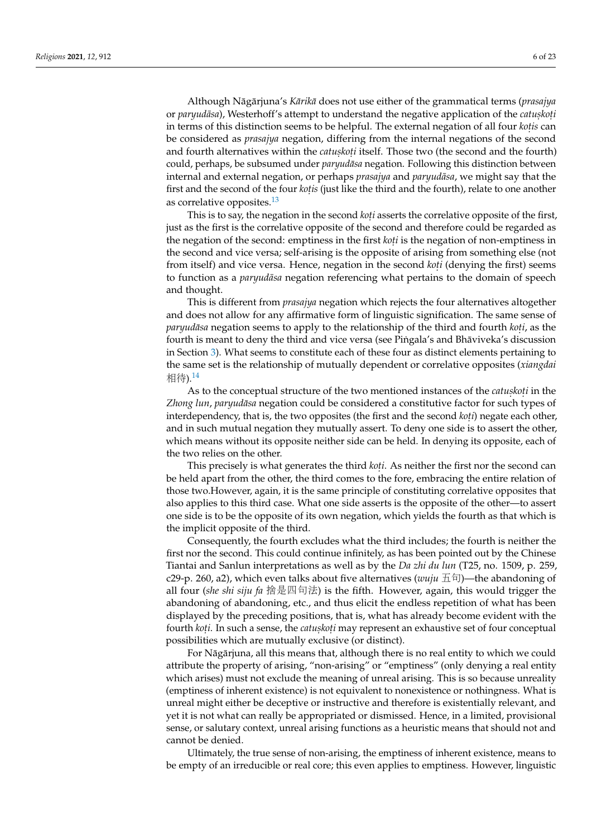Although Nāgārjuna's Kārikā does not use either of the grammatical terms (prasajya or *paryudāsa*), Westerhoff's attempt to understand the negative application of the *catuskoți* in terms of this distinction seems to be helpful. The external negation of all four *kotis* can be considered as *prasajya* negation, differing from the internal negations of the second and fourth alternatives within the *catuskoti* itself. Those two (the second and the fourth) could, perhaps, be subsumed under *paryudasa* negation. Following this distinction between internal and external negation, or perhaps *prasajya* and *paryudāsa*, we might say that the first and the second of the four *koțis* (just like the third and the fourth), relate to one another as correlative opposites.[13](#page-19-4)

<span id="page-5-0"></span>This is to say, the negation in the second *koti* asserts the correlative opposite of the first, just as the first is the correlative opposite of the second and therefore could be regarded as the negation of the second: emptiness in the first *koti* is the negation of non-emptiness in the second and vice versa; self-arising is the opposite of arising from something else (not from itself) and vice versa. Hence, negation in the second *koti* (denying the first) seems to function as a *paryudāsa* negation referencing what pertains to the domain of speech and thought.

This is different from *prasajya* negation which rejects the four alternatives altogether and does not allow for any affirmative form of linguistic signification. The same sense of *paryudāsa* negation seems to apply to the relationship of the third and fourth *koti,* as the fourth is meant to deny the third and vice versa (see Pingala's and Bhāviveka's discussion in Section [3\)](#page-6-0). What seems to constitute each of these four as distinct elements pertaining to the same set is the relationship of mutually dependent or correlative opposites (*xiangdai* 相待).[14](#page-19-5)

<span id="page-5-1"></span>As to the conceptual structure of the two mentioned instances of the *catuskoti* in the *Zhong lun, paryudāsa* negation could be considered a constitutive factor for such types of interdependency, that is, the two opposites (the first and the second *koti*) negate each other, and in such mutual negation they mutually assert. To deny one side is to assert the other, which means without its opposite neither side can be held. In denying its opposite, each of the two relies on the other.

This precisely is what generates the third *koti*. As neither the first nor the second can be held apart from the other, the third comes to the fore, embracing the entire relation of those two.However, again, it is the same principle of constituting correlative opposites that also applies to this third case. What one side asserts is the opposite of the other—to assert one side is to be the opposite of its own negation, which yields the fourth as that which is the implicit opposite of the third.

Consequently, the fourth excludes what the third includes; the fourth is neither the first nor the second. This could continue infinitely, as has been pointed out by the Chinese Tiantai and Sanlun interpretations as well as by the *Da zhi du lun* (T25, no. 1509, p. 259, c29-p. 260, a2), which even talks about five alternatives ( $wui\mu \pm \pi$ )—the abandoning of all four (*she shi siju fa* <sup>捨</sup>是四句法) is the fifth. However, again, this would trigger the abandoning of abandoning, etc., and thus elicit the endless repetition of what has been displayed by the preceding positions, that is, what has already become evident with the fourth *koti*. In such a sense, the *catuskoti* may represent an exhaustive set of four conceptual possibilities which are mutually exclusive (or distinct).

For Nāgārjuna, all this means that, although there is no real entity to which we could attribute the property of arising, "non-arising" or "emptiness" (only denying a real entity which arises) must not exclude the meaning of unreal arising. This is so because unreality (emptiness of inherent existence) is not equivalent to nonexistence or nothingness. What is unreal might either be deceptive or instructive and therefore is existentially relevant, and yet it is not what can really be appropriated or dismissed. Hence, in a limited, provisional sense, or salutary context, unreal arising functions as a heuristic means that should not and cannot be denied.

Ultimately, the true sense of non-arising, the emptiness of inherent existence, means to be empty of an irreducible or real core; this even applies to emptiness. However, linguistic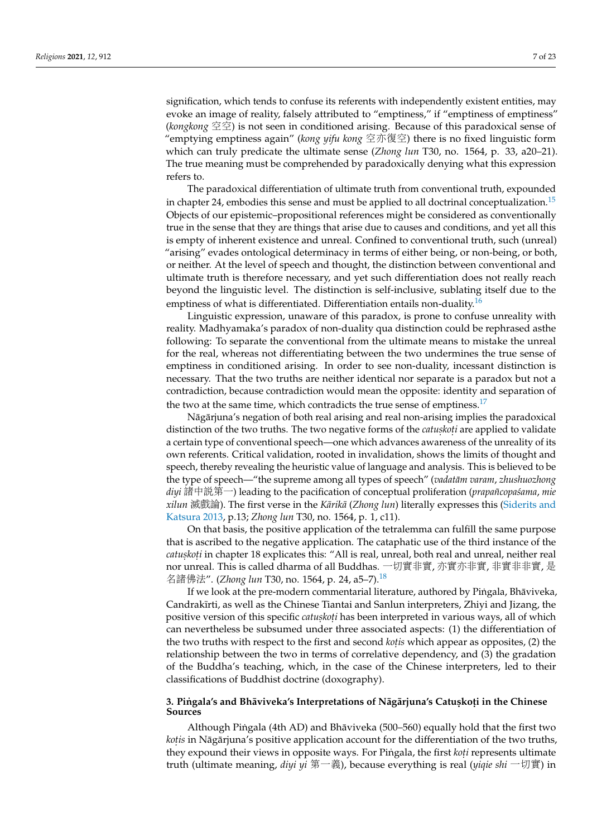signification, which tends to confuse its referents with independently existent entities, may evoke an image of reality, falsely attributed to "emptiness," if "emptiness of emptiness" (*kongkong* 空空) is not seen in conditioned arising. Because of this paradoxical sense of "emptying emptiness again" (*kong yifu kong* <sup>空</sup>亦復空) there is no fixed linguistic form which can truly predicate the ultimate sense (*Zhong lun* T30, no. 1564, p. 33, a20–21). The true meaning must be comprehended by paradoxically denying what this expression refers to.

<span id="page-6-1"></span>The paradoxical differentiation of ultimate truth from conventional truth, expounded in chapter 24, embodies this sense and must be applied to all doctrinal conceptualization.<sup>[15](#page-19-6)</sup> Objects of our epistemic–propositional references might be considered as conventionally true in the sense that they are things that arise due to causes and conditions, and yet all this is empty of inherent existence and unreal. Confined to conventional truth, such (unreal) "arising" evades ontological determinacy in terms of either being, or non-being, or both, or neither. At the level of speech and thought, the distinction between conventional and ultimate truth is therefore necessary, and yet such differentiation does not really reach beyond the linguistic level. The distinction is self-inclusive, sublating itself due to the emptiness of what is differentiated. Differentiation entails non-duality.<sup>[16](#page-20-0)</sup>

<span id="page-6-2"></span>Linguistic expression, unaware of this paradox, is prone to confuse unreality with reality. Madhyamaka's paradox of non-duality qua distinction could be rephrased asthe following: To separate the conventional from the ultimate means to mistake the unreal for the real, whereas not differentiating between the two undermines the true sense of emptiness in conditioned arising. In order to see non-duality, incessant distinction is necessary. That the two truths are neither identical nor separate is a paradox but not a contradiction, because contradiction would mean the opposite: identity and separation of the two at the same time, which contradicts the true sense of emptiness.<sup>[17](#page-20-1)</sup>

<span id="page-6-3"></span>Nāgārjuna's negation of both real arising and real non-arising implies the paradoxical distinction of the two truths. The two negative forms of the *catuskoti* are applied to validate a certain type of conventional speech—one which advances awareness of the unreality of its own referents. Critical validation, rooted in invalidation, shows the limits of thought and speech, thereby revealing the heuristic value of language and analysis. This is believed to be the type of speech—"the supreme among all types of speech" (*vadatām varam*, *zhushuozhong diyi* 諸中說第一) leading to the pacification of conceptual proliferation (*prapañcopa´sama*, *mie xilun* 滅戲論). The first verse in the *Kārikā* (*Zhong lun*) literally expresses this [\(Siderits and](#page-22-10) [Katsura](#page-22-10) [2013,](#page-22-10) p.13; *Zhong lun* T30, no. 1564, p. 1, c11).

On that basis, the positive application of the tetralemma can fulfill the same purpose that is ascribed to the negative application. The cataphatic use of the third instance of the *catuskoti* in chapter 18 explicates this: "All is real, unreal, both real and unreal, neither real nor unreal. This is called dharma of all Buddhas. 一切實非實, 亦實亦非實, 非實非非實, 是 <sup>名</sup>諸佛法". (*Zhong lun* T30, no. 1564, p. 24, a5–7).[18](#page-20-2)

<span id="page-6-4"></span>If we look at the pre-modern commentarial literature, authored by Pingala, Bhāviveka, Candrakīrti, as well as the Chinese Tiantai and Sanlun interpreters, Zhiyi and Jizang, the positive version of this specific *catuskoti* has been interpreted in various ways, all of which can nevertheless be subsumed under three associated aspects: (1) the differentiation of the two truths with respect to the first and second *kotis* which appear as opposites, (2) the relationship between the two in terms of correlative dependency, and (3) the gradation of the Buddha's teaching, which, in the case of the Chinese interpreters, led to their classifications of Buddhist doctrine (doxography).

#### <span id="page-6-0"></span> $\frac{1}{2}$ . Piṅgala's and Bhāviveka's Interpretations of Nāgārjuna's Catuṣkoṭi in the Chinese **Sources**

Although Pingala (4th AD) and Bhāviveka (500–560) equally hold that the first two kot*is* in Nāgārjuna's positive application account for the differentiation of the two truths, they expound their views in opposite ways. For Pingala, the first *koti* represents ultimate truth (ultimate meaning, *diyi yi* 第一義), because everything is real (*yiqie shi* 一切實) in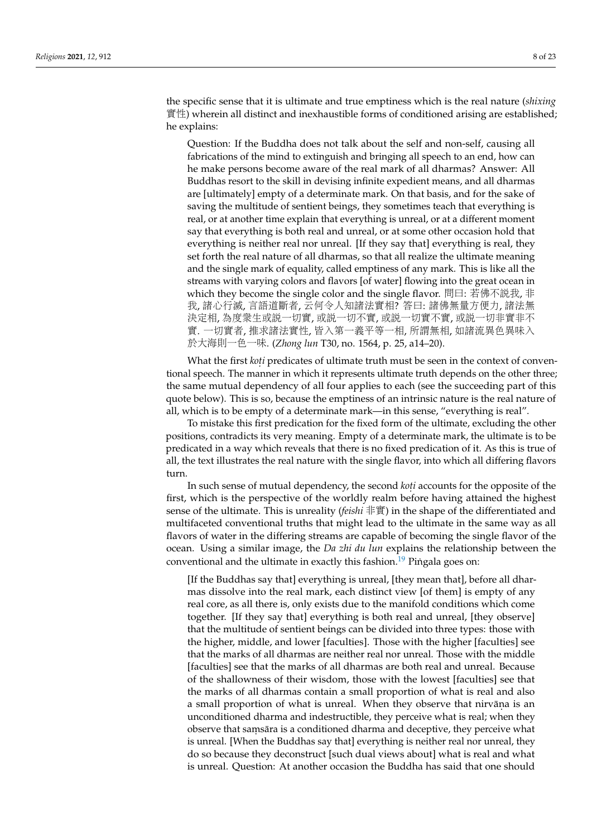the specific sense that it is ultimate and true emptiness which is the real nature (*shixing* 實性) wherein all distinct and inexhaustible forms of conditioned arising are established; he explains:

Question: If the Buddha does not talk about the self and non-self, causing all fabrications of the mind to extinguish and bringing all speech to an end, how can he make persons become aware of the real mark of all dharmas? Answer: All Buddhas resort to the skill in devising infinite expedient means, and all dharmas are [ultimately] empty of a determinate mark. On that basis, and for the sake of saving the multitude of sentient beings, they sometimes teach that everything is real, or at another time explain that everything is unreal, or at a different moment say that everything is both real and unreal, or at some other occasion hold that everything is neither real nor unreal. [If they say that] everything is real, they set forth the real nature of all dharmas, so that all realize the ultimate meaning and the single mark of equality, called emptiness of any mark. This is like all the streams with varying colors and flavors [of water] flowing into the great ocean in which they become the single color and the single flavor. <sup>問</sup>曰: <sup>若</sup>佛不說我, <sup>非</sup> 我, <sup>諸</sup>心行滅, 言語道斷者, <sup>云</sup>何令人知諸法實相? <sup>答</sup>曰: <sup>諸</sup>佛無量方便力, <sup>諸</sup>法<sup>無</sup> <sup>決</sup>定相, <sup>為</sup>度眾生或說一切實, 或說一切不實, 或說一切實不實, 或說一切非實非<sup>不</sup> <sup>實</sup>. <sup>一</sup>切實者, <sup>推</sup>求諸法實性, 皆入第一義平等一相, 所謂無相, 如諸流異色異味<sup>入</sup> <sup>於</sup>大海則一色一味. (*Zhong lun* T30, no. 1564, p. 25, a14–20).

What the first *koți* predicates of ultimate truth must be seen in the context of conventional speech. The manner in which it represents ultimate truth depends on the other three; the same mutual dependency of all four applies to each (see the succeeding part of this quote below). This is so, because the emptiness of an intrinsic nature is the real nature of all, which is to be empty of a determinate mark—in this sense, "everything is real".

To mistake this first predication for the fixed form of the ultimate, excluding the other positions, contradicts its very meaning. Empty of a determinate mark, the ultimate is to be predicated in a way which reveals that there is no fixed predication of it. As this is true of all, the text illustrates the real nature with the single flavor, into which all differing flavors turn.

In such sense of mutual dependency, the second *koṭi* accounts for the opposite of the first, which is the perspective of the worldly realm before having attained the highest sense of the ultimate. This is unreality (*feishi* 非實) in the shape of the differentiated and multifaceted conventional truths that might lead to the ultimate in the same way as all flavors of water in the differing streams are capable of becoming the single flavor of the ocean. Using a similar image, the *Da zhi du lun* explains the relationship between the conventional and the ultimate in exactly this fashion.<sup>[19](#page-20-3)</sup> Pingala goes on:

<span id="page-7-0"></span>[If the Buddhas say that] everything is unreal, [they mean that], before all dharmas dissolve into the real mark, each distinct view [of them] is empty of any real core, as all there is, only exists due to the manifold conditions which come together. [If they say that] everything is both real and unreal, [they observe] that the multitude of sentient beings can be divided into three types: those with the higher, middle, and lower [faculties]. Those with the higher [faculties] see that the marks of all dharmas are neither real nor unreal. Those with the middle [faculties] see that the marks of all dharmas are both real and unreal. Because of the shallowness of their wisdom, those with the lowest [faculties] see that the marks of all dharmas contain a small proportion of what is real and also a small proportion of what is unreal. When they observe that nirvāna is an unconditioned dharma and indestructible, they perceive what is real; when they observe that saṃsāra is a conditioned dharma and deceptive, they perceive what is unreal. [When the Buddhas say that] everything is neither real nor unreal, they do so because they deconstruct [such dual views about] what is real and what is unreal. Question: At another occasion the Buddha has said that one should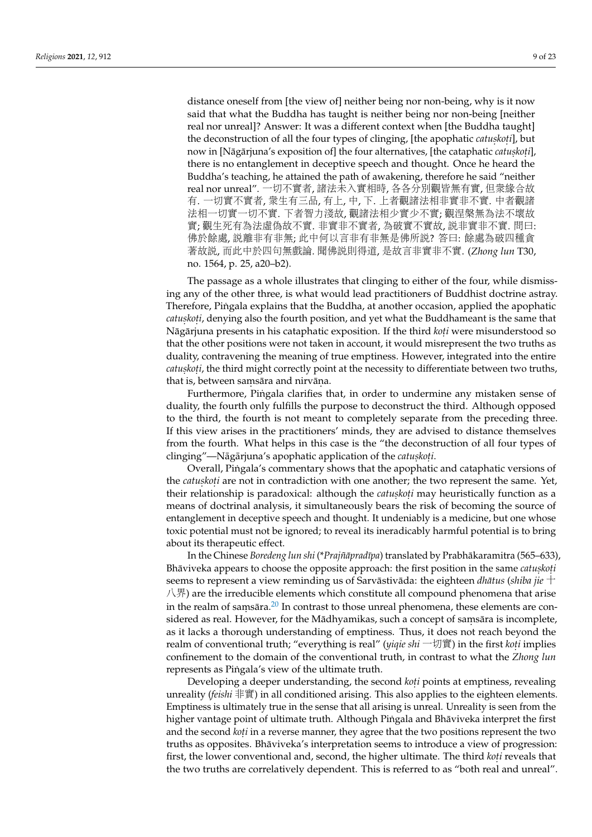distance oneself from [the view of] neither being nor non-being, why is it now said that what the Buddha has taught is neither being nor non-being [neither real nor unreal]? Answer: It was a different context when [the Buddha taught] the deconstruction of all the four types of clinging, [the apophatic *catuskoti*], but now in [Nāgārjuna's exposition of] the four alternatives, [the cataphatic *catuskoti*], there is no entanglement in deceptive speech and thought. Once he heard the Buddha's teaching, he attained the path of awakening, therefore he said "neither real nor unreal". <sup>一</sup>切不實者, <sup>諸</sup>法未入實相時, 各各分別觀皆無有實, 但眾緣合<sup>故</sup> 有. <sup>一</sup>切實不實者, <sup>眾</sup>生有三品, 有上, <sup>中</sup>, <sup>下</sup>. <sup>上</sup>者觀諸法相非實非不實. <sup>中</sup>者觀<sup>諸</sup> <sup>法</sup>相一切實一切不實. <sup>下</sup>者智力淺故, 觀諸法相少實少不實; 觀涅槃無為法不壞<sup>故</sup> <sup>實</sup>; 觀生死有為法虛偽故不實. <sup>非</sup>實非不實者, <sup>為</sup>破實不實故, <sup>說</sup>非實非不實. <sup>問</sup>曰: 佛於餘處, <sup>說</sup>離非有非無; 此中何以言非有非無是佛所說? <sup>答</sup>曰: <sup>餘</sup>處為破四種<sup>貪</sup> <sup>著</sup>故說, 而此中於四句無戲論. 聞佛說則得道, <sup>是</sup>故言非實非不實. (*Zhong lun* T30, no. 1564, p. 25, a20–b2).

The passage as a whole illustrates that clinging to either of the four, while dismissing any of the other three, is what would lead practitioners of Buddhist doctrine astray. Therefore, Pingala explains that the Buddha, at another occasion, applied the apophatic ˙ *catuskoti,* denying also the fourth position, and yet what the Buddhameant is the same that Nāgārjuna presents in his cataphatic exposition. If the third *koṭi w*ere misunderstood so that the other positions were not taken in account, it would misrepresent the two truths as duality, contravening the meaning of true emptiness. However, integrated into the entire *catuskoti,* the third might correctly point at the necessity to differentiate between two truths, that is, between saṃ $\bar{\rm a}$ ra and nirvāṇa.

Furthermore, Pingala clarifies that, in order to undermine any mistaken sense of duality, the fourth only fulfills the purpose to deconstruct the third. Although opposed to the third, the fourth is not meant to completely separate from the preceding three. If this view arises in the practitioners' minds, they are advised to distance themselves from the fourth. What helps in this case is the "the deconstruction of all four types of clinging"—Nāgārjuna's apophatic application of the *catuskoṭi*.

Overall, Pingala's commentary shows that the apophatic and cataphatic versions of ˙ the *catuskoti* are not in contradiction with one another; the two represent the same. Yet, their relationship is paradoxical: although the *catuskoti* may heuristically function as a means of doctrinal analysis, it simultaneously bears the risk of becoming the source of entanglement in deceptive speech and thought. It undeniably is a medicine, but one whose toxic potential must not be ignored; to reveal its ineradicably harmful potential is to bring about its therapeutic effect.

<span id="page-8-0"></span>In the Chinese Boredeng lun shi (\*Prajñāpradīpa) translated by Prabhākaramitra (565–633), Bhāviveka appears to choose the opposite approach: the first position in the same *catuskoți* seems to represent a view reminding us of Sarvāstivāda: the eighteen *dhātus (shiba jie*  $+$ 八界) are the irreducible elements which constitute all compound phenomena that arise in the realm of samsara.<sup>[20](#page-20-4)</sup> In contrast to those unreal phenomena, these elements are considered as real. However, for the Mādhyamikas, such a concept of saṃsāra is incomplete, as it lacks a thorough understanding of emptiness. Thus, it does not reach beyond the realm of conventional truth; "everything is real" (*yiqie shi* 一切實) in the first *koṭi* implies confinement to the domain of the conventional truth, in contrast to what the *Zhong lun* represents as Pingala's view of the ultimate truth.

Developing a deeper understanding, the second *koti* points at emptiness, revealing unreality (*feishi* 非實) in all conditioned arising. This also applies to the eighteen elements. Emptiness is ultimately true in the sense that all arising is unreal. Unreality is seen from the higher vantage point of ultimate truth. Although Pingala and Bhaviveka interpret the first and the second *koti* in a reverse manner, they agree that the two positions represent the two truths as opposites. Bhaviveka's interpretation seems to introduce a view of progression: ¯ first, the lower conventional and, second, the higher ultimate. The third *koti* reveals that the two truths are correlatively dependent. This is referred to as "both real and unreal".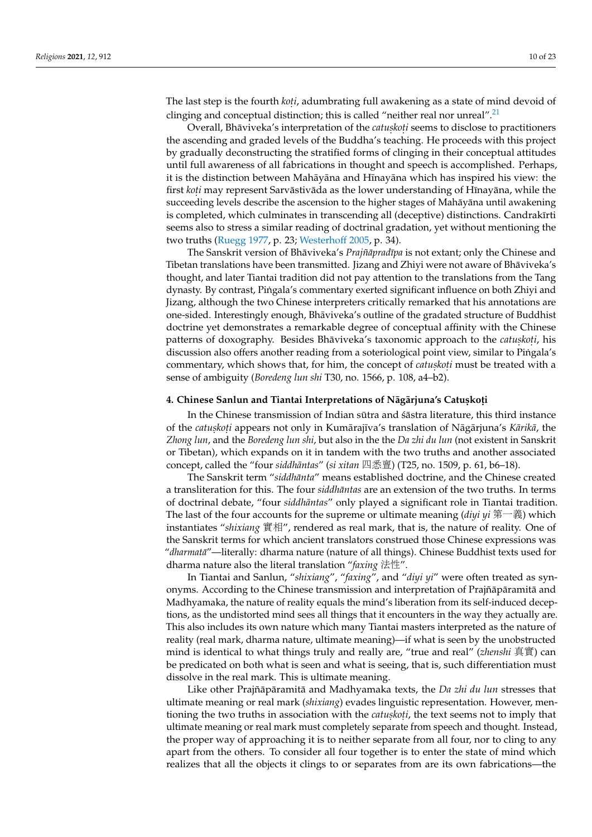<span id="page-9-1"></span>The last step is the fourth *koti*, adumbrating full awakening as a state of mind devoid of clinging and conceptual distinction; this is called "neither real nor unreal".<sup>[21](#page-20-5)</sup>

Overall, Bhāviveka's interpretation of the *catuskoți* seems to disclose to practitioners the ascending and graded levels of the Buddha's teaching. He proceeds with this project by gradually deconstructing the stratified forms of clinging in their conceptual attitudes until full awareness of all fabrications in thought and speech is accomplished. Perhaps, it is the distinction between Mahayāna and Hīnayāna which has inspired his view: the first *koți* may represent Sarvāstivāda as the lower understanding of Hīnayāna, while the succeeding levels describe the ascension to the higher stages of Mahāyāna until awakening is completed, which culminates in transcending all (deceptive) distinctions. Candrakīrti seems also to stress a similar reading of doctrinal gradation, yet without mentioning the two truths [\(Ruegg](#page-22-5) [1977,](#page-22-5) p. 23; [Westerhoff](#page-22-7) [2005,](#page-22-7) p. 34).

The Sanskrit version of Bhāviveka's *Prajñāpradīpa* is not extant; only the Chinese and Tibetan translations have been transmitted. Jizang and Zhiyi were not aware of Bhāviveka's thought, and later Tiantai tradition did not pay attention to the translations from the Tang dynasty. By contrast, Pingala's commentary exerted significant influence on both Zhiyi and ˙ Jizang, although the two Chinese interpreters critically remarked that his annotations are one-sided. Interestingly enough, Bhaviveka's outline of the gradated structure of Buddhist ¯ doctrine yet demonstrates a remarkable degree of conceptual affinity with the Chinese patterns of doxography. Besides Bhāviveka's taxonomic approach to the *catuskoți*, his discussion also offers another reading from a soteriological point view, similar to Pingala's commentary, which shows that, for him, the concept of *catuskoti* must be treated with a sense of ambiguity (*Boredeng lun shi* T30, no. 1566, p. 108, a4–b2).

## <span id="page-9-0"></span> $4$ . Chinese Sanlun and Tiantai Interpretations of Nāgārjuna's Catuṣkoṭi

In the Chinese transmission of Indian sutra and  $\delta$  astra literature, this third instance of the *catuskoți* appears not only in Kumārajīva's translation of Nāgārjuna's *Kārikā,* the *Zhong lun*, and the *Boredeng lun shi*, but also in the the *Da zhi du lun* (not existent in Sanskrit or Tibetan), which expands on it in tandem with the two truths and another associated concept, called the "four *siddhantas ¯* " (*si xitan* 四悉亶) (T25, no. 1509, p. 61, b6–18).

The Sanskrit term "siddhānta" means established doctrine, and the Chinese created a transliteration for this. The four *siddhantas* are an extension of the two truths. In terms of doctrinal debate, "four *siddhantas ¯* " only played a significant role in Tiantai tradition. The last of the four accounts for the supreme or ultimate meaning (*diyi yi* 第一義) which instantiates "*shixiang* <sup>實</sup>相", rendered as real mark, that is, the nature of reality. One of the Sanskrit terms for which ancient translators construed those Chinese expressions was "*dharmata¯*"—literally: dharma nature (nature of all things). Chinese Buddhist texts used for dharma nature also the literal translation "*faxing* 法性".

In Tiantai and Sanlun, "*shixiang*", "*faxing*", and "*diyi yi*" were often treated as synonyms. According to the Chinese transmission and interpretation of Prajñā pāramitā and Madhyamaka, the nature of reality equals the mind's liberation from its self-induced deceptions, as the undistorted mind sees all things that it encounters in the way they actually are. This also includes its own nature which many Tiantai masters interpreted as the nature of reality (real mark, dharma nature, ultimate meaning)—if what is seen by the unobstructed mind is identical to what things truly and really are, "true and real" (*zhenshi* 真實) can be predicated on both what is seen and what is seeing, that is, such differentiation must dissolve in the real mark. This is ultimate meaning.

Like other Prajñā pāramitā and Madhyamaka texts, the Da zhi du lun stresses that ultimate meaning or real mark (*shixiang*) evades linguistic representation. However, mentioning the two truths in association with the *catuskoti*, the text seems not to imply that ultimate meaning or real mark must completely separate from speech and thought. Instead, the proper way of approaching it is to neither separate from all four, nor to cling to any apart from the others. To consider all four together is to enter the state of mind which realizes that all the objects it clings to or separates from are its own fabrications—the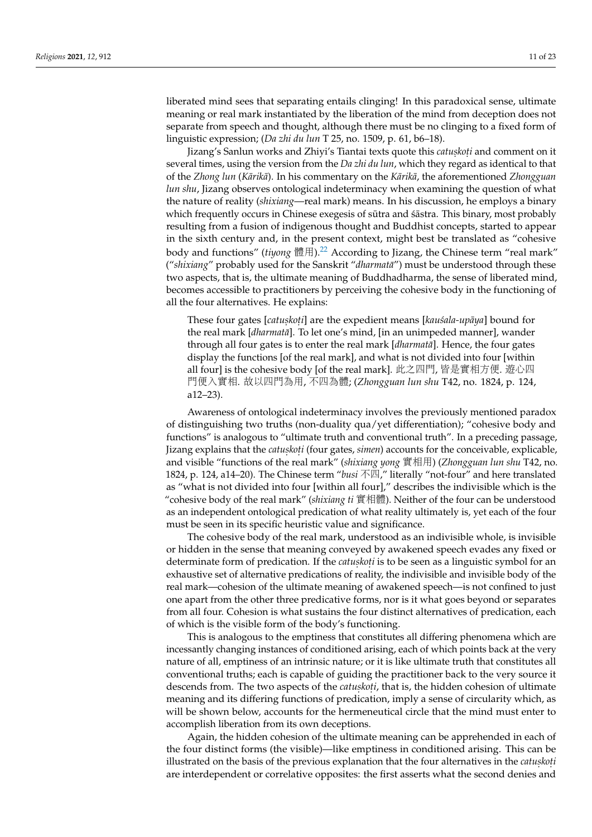liberated mind sees that separating entails clinging! In this paradoxical sense, ultimate meaning or real mark instantiated by the liberation of the mind from deception does not separate from speech and thought, although there must be no clinging to a fixed form of linguistic expression; (*Da zhi du lun* T 25, no. 1509, p. 61, b6–18).

Jizang's Sanlun works and Zhiyi's Tiantai texts quote this *catuskoți* and comment on it several times, using the version from the *Da zhi du lun*, which they regard as identical to that of the *Zhong lun* (*Karik ¯ a¯*). In his commentary on the *Karik ¯ a¯*, the aforementioned *Zhongguan lun shu*, Jizang observes ontological indeterminacy when examining the question of what the nature of reality (*shixiang*—real mark) means. In his discussion, he employs a binary which frequently occurs in Chinese exegesis of sūtra and  $\delta$  astra. This binary, most probably resulting from a fusion of indigenous thought and Buddhist concepts, started to appear in the sixth century and, in the present context, might best be translated as "cohesive body and functions" (*tiyong* 體用).<sup>[22](#page-20-6)</sup> According to Jizang, the Chinese term "real mark" ("shixiang" probably used for the Sanskrit "dharmata") must be understood through these two aspects, that is, the ultimate meaning of Buddhadharma, the sense of liberated mind, becomes accessible to practitioners by perceiving the cohesive body in the functioning of all the four alternatives. He explains:

<span id="page-10-0"></span>These four gates [*catuṣkoṭi*] are the expedient means [*kauśala-upāya*] bound for the real mark [*dharmatā*]. To let one's mind, [in an unimpeded manner], wander through all four gates is to enter the real mark [*dharmata¯*]. Hence, the four gates display the functions [of the real mark], and what is not divided into four [within all four] is the cohesive body [of the real mark]. 此之四門, 皆是實相方便. <sup>遊</sup>心<sup>四</sup> <sup>門</sup>便入實相. <sup>故</sup>以四門為用, <sup>不</sup>四為體; (*Zhongguan lun shu* T42, no. 1824, p. 124, a12–23).

Awareness of ontological indeterminacy involves the previously mentioned paradox of distinguishing two truths (non-duality qua/yet differentiation); "cohesive body and functions" is analogous to "ultimate truth and conventional truth". In a preceding passage, Jizang explains that the *catuskoti* (four gates, *simen*) accounts for the conceivable, explicable, and visible "functions of the real mark" (*shixiang yong* <sup>實</sup>相用) (*Zhongguan lun shu* T42, no. 1824, p. 124, a14–20). The Chinese term "*busi* 不四," literally "not-four" and here translated as "what is not divided into four [within all four]," describes the indivisible which is the "cohesive body of the real mark" (*shixiang ti* <sup>實</sup>相體). Neither of the four can be understood as an independent ontological predication of what reality ultimately is, yet each of the four must be seen in its specific heuristic value and significance.

The cohesive body of the real mark, understood as an indivisible whole, is invisible or hidden in the sense that meaning conveyed by awakened speech evades any fixed or determinate form of predication. If the *catuskoti* is to be seen as a linguistic symbol for an exhaustive set of alternative predications of reality, the indivisible and invisible body of the real mark—cohesion of the ultimate meaning of awakened speech—is not confined to just one apart from the other three predicative forms, nor is it what goes beyond or separates from all four. Cohesion is what sustains the four distinct alternatives of predication, each of which is the visible form of the body's functioning.

This is analogous to the emptiness that constitutes all differing phenomena which are incessantly changing instances of conditioned arising, each of which points back at the very nature of all, emptiness of an intrinsic nature; or it is like ultimate truth that constitutes all conventional truths; each is capable of guiding the practitioner back to the very source it descends from. The two aspects of the *catuskoti*, that is, the hidden cohesion of ultimate meaning and its differing functions of predication, imply a sense of circularity which, as will be shown below, accounts for the hermeneutical circle that the mind must enter to accomplish liberation from its own deceptions.

Again, the hidden cohesion of the ultimate meaning can be apprehended in each of the four distinct forms (the visible)—like emptiness in conditioned arising. This can be illustrated on the basis of the previous explanation that the four alternatives in the *catuskoti* are interdependent or correlative opposites: the first asserts what the second denies and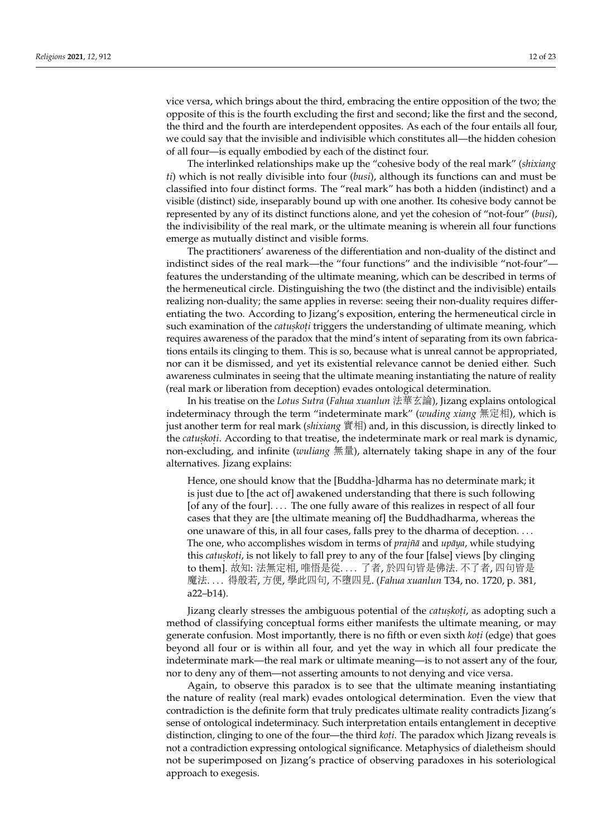vice versa, which brings about the third, embracing the entire opposition of the two; the opposite of this is the fourth excluding the first and second; like the first and the second, the third and the fourth are interdependent opposites. As each of the four entails all four, we could say that the invisible and indivisible which constitutes all—the hidden cohesion of all four—is equally embodied by each of the distinct four.

The interlinked relationships make up the "cohesive body of the real mark" (*shixiang ti*) which is not really divisible into four (*busi*), although its functions can and must be classified into four distinct forms. The "real mark" has both a hidden (indistinct) and a visible (distinct) side, inseparably bound up with one another. Its cohesive body cannot be represented by any of its distinct functions alone, and yet the cohesion of "not-four" (*busi*), the indivisibility of the real mark, or the ultimate meaning is wherein all four functions emerge as mutually distinct and visible forms.

The practitioners' awareness of the differentiation and non-duality of the distinct and indistinct sides of the real mark—the "four functions" and the indivisible "not-four" features the understanding of the ultimate meaning, which can be described in terms of the hermeneutical circle. Distinguishing the two (the distinct and the indivisible) entails realizing non-duality; the same applies in reverse: seeing their non-duality requires differentiating the two. According to Jizang's exposition, entering the hermeneutical circle in such examination of the *catuskoti* triggers the understanding of ultimate meaning, which requires awareness of the paradox that the mind's intent of separating from its own fabrications entails its clinging to them. This is so, because what is unreal cannot be appropriated, nor can it be dismissed, and yet its existential relevance cannot be denied either. Such awareness culminates in seeing that the ultimate meaning instantiating the nature of reality (real mark or liberation from deception) evades ontological determination.

In his treatise on the *Lotus Sutra* (*Fahua xuanlun* 法華玄論), Jizang explains ontological indeterminacy through the term "indeterminate mark" (*wuding xiang* <sup>無</sup>定相), which is just another term for real mark (*shixiang* <sup>實</sup>相) and, in this discussion, is directly linked to the *catuskoti*. According to that treatise, the indeterminate mark or real mark is dynamic, non-excluding, and infinite (*wuliang* 無量), alternately taking shape in any of the four alternatives. Jizang explains:

Hence, one should know that the [Buddha-]dharma has no determinate mark; it is just due to [the act of] awakened understanding that there is such following [of any of the four]. . . . The one fully aware of this realizes in respect of all four cases that they are [the ultimate meaning of] the Buddhadharma, whereas the one unaware of this, in all four cases, falls prey to the dharma of deception. . . . The one, who accomplishes wisdom in terms of *prajña* and *upaya*, while studying this *catuskoti,* is not likely to fall prey to any of the four [false] views [by clinging to them]. <sup>故</sup>知: <sup>法</sup>無定相, <sup>唯</sup>悟是從. . . . <sup>了</sup>者, <sup>於</sup>四句皆是佛法. 不了者, <sup>四</sup>句皆<sup>是</sup> <sup>魔</sup>法. . . . 得般若, <sup>方</sup>便, <sup>學</sup>此四句, <sup>不</sup>墮四見. (*Fahua xuanlun* T34, no. 1720, p. 381, a22–b14).

Jizang clearly stresses the ambiguous potential of the *catuskoti,* as adopting such a method of classifying conceptual forms either manifests the ultimate meaning, or may generate confusion. Most importantly, there is no fifth or even sixth *koti* (edge) that goes beyond all four or is within all four, and yet the way in which all four predicate the indeterminate mark—the real mark or ultimate meaning—is to not assert any of the four, nor to deny any of them—not asserting amounts to not denying and vice versa.

Again, to observe this paradox is to see that the ultimate meaning instantiating the nature of reality (real mark) evades ontological determination. Even the view that contradiction is the definite form that truly predicates ultimate reality contradicts Jizang's sense of ontological indeterminacy. Such interpretation entails entanglement in deceptive distinction, clinging to one of the four—the third *kot. i*. The paradox which Jizang reveals is not a contradiction expressing ontological significance. Metaphysics of dialetheism should not be superimposed on Jizang's practice of observing paradoxes in his soteriological approach to exegesis.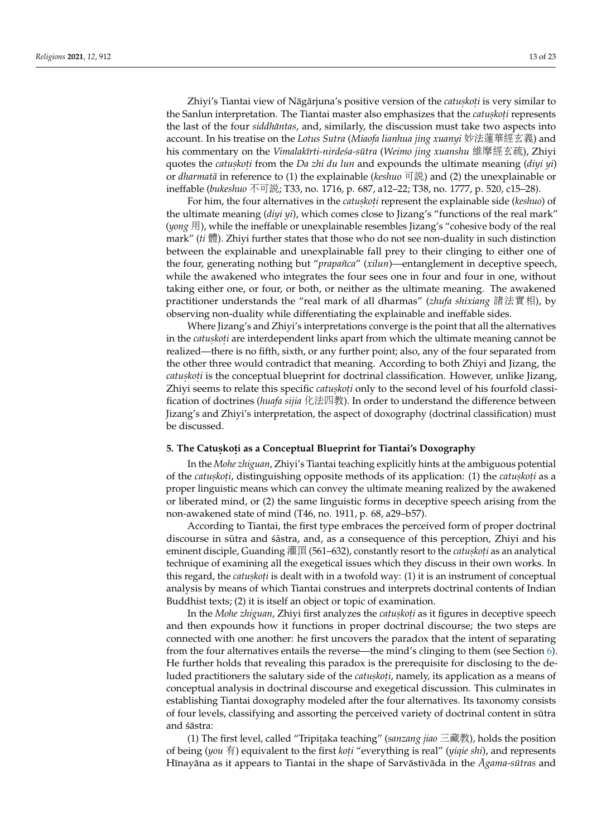Zhiyi's Tiantai view of Nāgārjuna's positive version of the *catuskoṭi* is very similar to the Sanlun interpretation. The Tiantai master also emphasizes that the *catuskoti* represents the last of the four *siddhāntas*, and, similarly, the discussion must take two aspects into account. In his treatise on the *Lotus Sutra* (*Miaofa lianhua jing xuanyi* 妙法蓮華經玄義) and his commentary on the *Vimalakīrti-nirde´sa-sūtra (Weimo jing xuanshu* 維摩經玄疏), Zhiyi quotes the *catuskoti* from the *Da zhi du lun* and expounds the ultimate meaning (*diyi yi*) or *dharmata¯* in reference to (1) the explainable (*keshuo* 可說) and (2) the unexplainable or ineffable (*bukeshuo* <sup>不</sup>可說; T33, no. 1716, p. 687, a12–22; T38, no. 1777, p. 520, c15–28).

For him, the four alternatives in the *catuskoti* represent the explainable side (*keshuo*) of the ultimate meaning (*diyi yi*), which comes close to Jizang's "functions of the real mark" (*yong* 用), while the ineffable or unexplainable resembles Jizang's "cohesive body of the real mark" (*ti* 體). Zhiyi further states that those who do not see non-duality in such distinction between the explainable and unexplainable fall prey to their clinging to either one of the four, generating nothing but "*prapañca*" (*xilun*)—entanglement in deceptive speech, while the awakened who integrates the four sees one in four and four in one, without taking either one, or four, or both, or neither as the ultimate meaning. The awakened practitioner understands the "real mark of all dharmas" (*zhufa shixiang* <sup>諸</sup>法實相), by observing non-duality while differentiating the explainable and ineffable sides.

Where Jizang's and Zhiyi's interpretations converge is the point that all the alternatives in the *catuskoți* are interdependent links apart from which the ultimate meaning cannot be realized—there is no fifth, sixth, or any further point; also, any of the four separated from the other three would contradict that meaning. According to both Zhiyi and Jizang, the *catuskoti* is the conceptual blueprint for doctrinal classification. However, unlike Jizang, Zhiyi seems to relate this specific *catuskoti* only to the second level of his fourfold classification of doctrines (*huafa sijia* 化法四教). In order to understand the difference between Jizang's and Zhiyi's interpretation, the aspect of doxography (doctrinal classification) must be discussed.

## <span id="page-12-0"></span>**5. The Catus.kot . i as a Conceptual Blueprint for Tiantai's Doxography**

In the *Mohe zhiguan*, Zhiyi's Tiantai teaching explicitly hints at the ambiguous potential of the *catuskoti*, distinguishing opposite methods of its application: (1) the *catuskoti* as a proper linguistic means which can convey the ultimate meaning realized by the awakened or liberated mind, or (2) the same linguistic forms in deceptive speech arising from the non-awakened state of mind (T46, no. 1911, p. 68, a29–b57).

According to Tiantai, the first type embraces the perceived form of proper doctrinal discourse in sūtra and sāstra, and, as a consequence of this perception, Zhiyi and his eminent disciple, Guanding 灌頂 (561–632), constantly resort to the *catuskoti* as an analytical technique of examining all the exegetical issues which they discuss in their own works. In this regard*,* the *catuskoti* is dealt with in a twofold way: (1) it is an instrument of conceptual analysis by means of which Tiantai construes and interprets doctrinal contents of Indian Buddhist texts; (2) it is itself an object or topic of examination.

In the *Mohe zhiguan,* Zhiyi first analyzes the *catuskoți* as it figures in deceptive speech and then expounds how it functions in proper doctrinal discourse; the two steps are connected with one another: he first uncovers the paradox that the intent of separating from the four alternatives entails the reverse—the mind's clinging to them (see Section [6\)](#page-14-0). He further holds that revealing this paradox is the prerequisite for disclosing to the deluded practitioners the salutary side of the *catuskoṭi,* namely, its application as a means of conceptual analysis in doctrinal discourse and exegetical discussion. This culminates in establishing Tiantai doxography modeled after the four alternatives. Its taxonomy consists of four levels, classifying and assorting the perceived variety of doctrinal content in sutra ¯ and śāstra:

(1) The first level, called "Tripitaka teaching" (*sanzang jiao* 三藏教), holds the position of being (*you* <sup>有</sup>) equivalent to the first *kot. i* "everything is real" (*yiqie shi*), and represents Hīnayāna as it appears to Tiantai in the shape of Sarvāstivāda in the *Agama-sūtras* and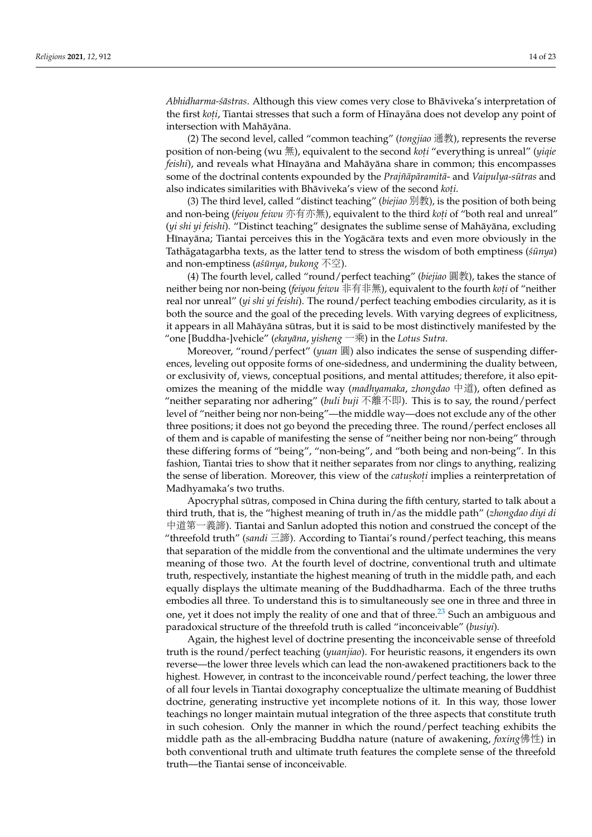*Abhidharma-śāstras*. Although this view comes very close to Bhāviveka's interpretation of the first *koṭi,* Tiantai stresses that such a form of Hīnayāna does not develop any point of intersection with Mahāyāna.

(2) The second level, called "common teaching" (*tongjiao* 通教), represents the reverse position of non-being (wu 無), equivalent to the second *koti* "everything is unreal" (*yiqie feishi*), and reveals what Hīnayāna and Mahāyāna share in common; this encompasses some of the doctrinal contents expounded by the *Prajñāpāramitā*- and *Vaipulya-sūtras* and also indicates similarities with Bhāviveka's view of the second *koti*.

(3) The third level, called "distinct teaching" (*biejiao* 別教), is the position of both being and non-being *(feiyou feiwu* 亦有亦無), equivalent to the third *koti* of "both real and unreal"<br>(*ui shi ui feishi*), "Distinct togebing" dosignates the sublime sense of Mahāyāna, excluding (yi shi yi feishi). "Distinct teaching" designates the sublime sense of Mahāyāna, excluding Hīnayāna; Tiantai perceives this in the Yogācāra texts and even more obviously in the Tathāgatagarbha texts, as the latter tend to stress the wisdom of both emptiness ( $sūnya$ ) and non-emptiness (*a´sunya ¯* , *bukong* 不空).

(4) The fourth level, called "round/perfect teaching" (*biejiao* 圓教), takes the stance of neither being nor non-being (*feiyou feiwu* 非有非無), equivalent to the fourth *koti* of "neither<br>real nor unreal" (*ui shi ui feishi*). The round (perfect teaching embodies circularity as it is real nor unreal" (*yi shi yi feishi*). The round/perfect teaching embodies circularity, as it is both the source and the goal of the preceding levels. With varying degrees of explicitness, it appears in all Mahāyāna sūtras, but it is said to be most distinctively manifested by the "one [Buddha-]vehicle" (*ekayana ¯* , *yisheng* 一乘) in the *Lotus Sutra*.

Moreover, "round/perfect" (*yuan* 圓) also indicates the sense of suspending differences, leveling out opposite forms of one-sidedness, and undermining the duality between, or exclusivity of, views, conceptual positions, and mental attitudes; therefore, it also epitomizes the meaning of the middle way (*madhyamaka*, *zhongdao* 中道), often defined as "neither separating nor adhering" (*buli buji* <sup>不</sup>離不即). This is to say, the round/perfect level of "neither being nor non-being"—the middle way—does not exclude any of the other three positions; it does not go beyond the preceding three. The round/perfect encloses all of them and is capable of manifesting the sense of "neither being nor non-being" through these differing forms of "being", "non-being", and "both being and non-being". In this fashion, Tiantai tries to show that it neither separates from nor clings to anything, realizing the sense of liberation. Moreover, this view of the *catuskoti* implies a reinterpretation of Madhyamaka's two truths.

Apocryphal sutras, composed in China during the fifth century, started to talk about a ¯ third truth, that is, the "highest meaning of truth in/as the middle path" (*zhongdao diyi di* 中道第一義諦). Tiantai and Sanlun adopted this notion and construed the concept of the "threefold truth" (*sandi* 三諦). According to Tiantai's round/perfect teaching, this means that separation of the middle from the conventional and the ultimate undermines the very meaning of those two. At the fourth level of doctrine, conventional truth and ultimate truth, respectively, instantiate the highest meaning of truth in the middle path, and each equally displays the ultimate meaning of the Buddhadharma. Each of the three truths embodies all three. To understand this is to simultaneously see one in three and three in one, yet it does not imply the reality of one and that of three.<sup>[23](#page-20-7)</sup> Such an ambiguous and paradoxical structure of the threefold truth is called "inconceivable" (*busiyi*).

<span id="page-13-0"></span>Again, the highest level of doctrine presenting the inconceivable sense of threefold truth is the round/perfect teaching (*yuanjiao*). For heuristic reasons, it engenders its own reverse—the lower three levels which can lead the non-awakened practitioners back to the highest. However, in contrast to the inconceivable round/perfect teaching, the lower three of all four levels in Tiantai doxography conceptualize the ultimate meaning of Buddhist doctrine, generating instructive yet incomplete notions of it. In this way, those lower teachings no longer maintain mutual integration of the three aspects that constitute truth in such cohesion. Only the manner in which the round/perfect teaching exhibits the middle path as the all-embracing Buddha nature (nature of awakening, *foxing*佛性) in both conventional truth and ultimate truth features the complete sense of the threefold truth—the Tiantai sense of inconceivable.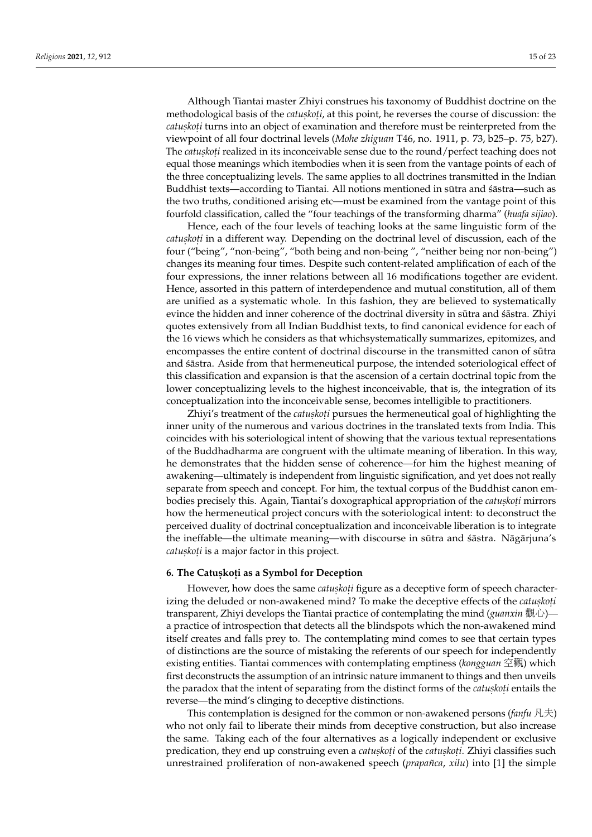Although Tiantai master Zhiyi construes his taxonomy of Buddhist doctrine on the methodological basis of the *catuskoti*, at this point, he reverses the course of discussion: the *catuskoti* turns into an object of examination and therefore must be reinterpreted from the viewpoint of all four doctrinal levels (*Mohe zhiguan* T46, no. 1911, p. 73, b25–p. 75, b27). The *catuskoti* realized in its inconceivable sense due to the round/perfect teaching does not equal those meanings which itembodies when it is seen from the vantage points of each of the three conceptualizing levels. The same applies to all doctrines transmitted in the Indian Buddhist texts—according to Tiantai. All notions mentioned in sūtra and  $\pm$ astra—such as the two truths, conditioned arising etc—must be examined from the vantage point of this fourfold classification, called the "four teachings of the transforming dharma" (*huafa sijiao*).

Hence, each of the four levels of teaching looks at the same linguistic form of the *catuskoti* in a different way. Depending on the doctrinal level of discussion, each of the four ("being", "non-being", "both being and non-being ", "neither being nor non-being") changes its meaning four times. Despite such content-related amplification of each of the four expressions, the inner relations between all 16 modifications together are evident. Hence, assorted in this pattern of interdependence and mutual constitution, all of them are unified as a systematic whole. In this fashion, they are believed to systematically evince the hidden and inner coherence of the doctrinal diversity in sūtra and sastra. Zhiyi quotes extensively from all Indian Buddhist texts, to find canonical evidence for each of the 16 views which he considers as that whichsystematically summarizes, epitomizes, and encompasses the entire content of doctrinal discourse in the transmitted canon of sūtra and sastra. Aside from that hermeneutical purpose, the intended soteriological effect of this classification and expansion is that the ascension of a certain doctrinal topic from the lower conceptualizing levels to the highest inconceivable, that is, the integration of its conceptualization into the inconceivable sense, becomes intelligible to practitioners.

Zhiyi's treatment of the *catuskoti* pursues the hermeneutical goal of highlighting the inner unity of the numerous and various doctrines in the translated texts from India. This coincides with his soteriological intent of showing that the various textual representations of the Buddhadharma are congruent with the ultimate meaning of liberation. In this way, he demonstrates that the hidden sense of coherence—for him the highest meaning of awakening—ultimately is independent from linguistic signification, and yet does not really separate from speech and concept. For him, the textual corpus of the Buddhist canon embodies precisely this. Again, Tiantai's doxographical appropriation of the *catuskoti* mirrors how the hermeneutical project concurs with the soteriological intent: to deconstruct the perceived duality of doctrinal conceptualization and inconceivable liberation is to integrate the ineffable—the ultimate meaning—with discourse in sūtra and sastra. Nāgārjuna's *catus. kot. i* is a major factor in this project.

# <span id="page-14-0"></span>**6. The Catus.kot . i as a Symbol for Deception**

However, how does the same *catuskoti* figure as a deceptive form of speech characterizing the deluded or non-awakened mind? To make the deceptive effects of the *catuskoti* transparent, Zhiyi develops the Tiantai practice of contemplating the mind (*guanxin* 觀心) a practice of introspection that detects all the blindspots which the non-awakened mind itself creates and falls prey to. The contemplating mind comes to see that certain types of distinctions are the source of mistaking the referents of our speech for independently existing entities. Tiantai commences with contemplating emptiness (*kongguan* <sup>空</sup>觀) which first deconstructs the assumption of an intrinsic nature immanent to things and then unveils the paradox that the intent of separating from the distinct forms of the *catuskoti* entails the reverse—the mind's clinging to deceptive distinctions.

This contemplation is designed for the common or non-awakened persons (*fanfu* <sup>凡</sup>夫) who not only fail to liberate their minds from deceptive construction, but also increase the same. Taking each of the four alternatives as a logically independent or exclusive predication, they end up construing even a *catuskoti* of the *catuskoti*. Zhiyi classifies such unrestrained proliferation of non-awakened speech (*prapañca*, *xilu*) into [1] the simple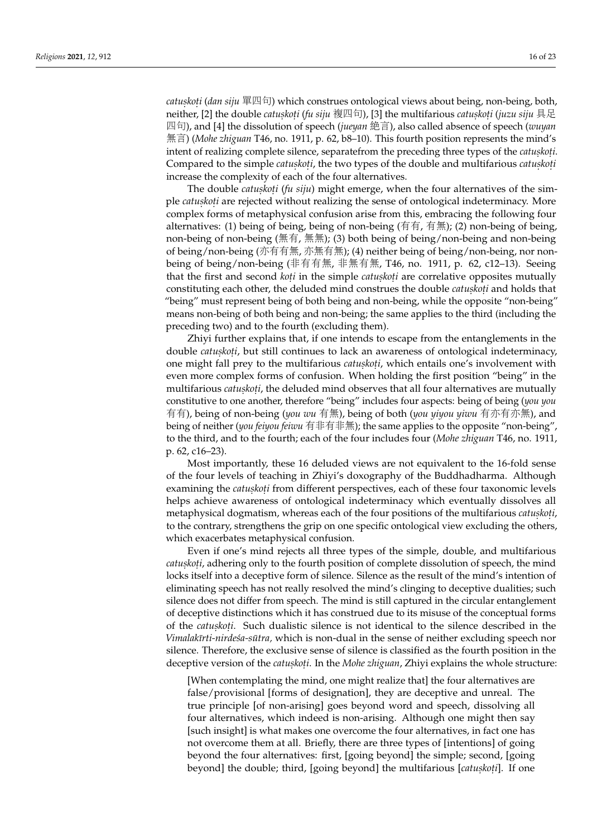*catuskoti (dan siju* 單四句) which construes ontological views about being, non-being, both,<br>poitbor. [2] the double *catuskoti (fu siju 複*回句). [3] the multifarious *catuskoti (juzu siju* 目足 neither, [2] the double *catuskoti (fu siju* 複四句), [3] the multifarious *catuskoti (juzu siju* 具足 <sup>四</sup>句), and [4] the dissolution of speech (*jueyan* <sup>絕</sup>言), also called absence of speech (*wuyan* 無言) (*Mohe zhiguan* T46, no. 1911, p. 62, b8–10). This fourth position represents the mind's intent of realizing complete silence, separatefrom the preceding three types of the *catuskoti*. Compared to the simple *catuskoti*, the two types of the double and multifarious *catuskoti* increase the complexity of each of the four alternatives.

The double *catuskoti* (*fu siju*) might emerge, when the four alternatives of the simple *catuskoti* are rejected without realizing the sense of ontological indeterminacy. More complex forms of metaphysical confusion arise from this, embracing the following four alternatives: (1) being of being, being of non-being (有有, 有無); (2) non-being of being, non-being of non-being (無有, 無無); (3) both being of being/non-being and non-being of being/non-being (亦有有無, <sup>亦</sup>無有無); (4) neither being of being/non-being, nor nonbeing of being/non-being (非有有無, <sup>非</sup>無有無, T46, no. 1911, p. 62, c12–13). Seeing that the first and second *koti* in the simple *catuskoti* are correlative opposites mutually constituting each other, the deluded mind construes the double *catuskoti* and holds that "being" must represent being of both being and non-being, while the opposite "non-being" means non-being of both being and non-being; the same applies to the third (including the preceding two) and to the fourth (excluding them).

Zhiyi further explains that, if one intends to escape from the entanglements in the double *catuskoti,* but still continues to lack an awareness of ontological indeterminacy, one might fall prey to the multifarious *catuskoti*, which entails one's involvement with even more complex forms of confusion. When holding the first position "being" in the multifarious *catuskoti*, the deluded mind observes that all four alternatives are mutually constitutive to one another, therefore "being" includes four aspects: being of being (*you you* 有有), being of non-being (*you wu* 有無), being of both (*you yiyou yiwu* 有亦有亦無), and being of neither (*you feiyou feiwu* 有非有非無); the same applies to the opposite "non-being", to the third, and to the fourth; each of the four includes four (*Mohe zhiguan* T46, no. 1911, p. 62, c16–23).

Most importantly, these 16 deluded views are not equivalent to the 16-fold sense of the four levels of teaching in Zhiyi's doxography of the Buddhadharma. Although examining the *catuskoti* from different perspectives, each of these four taxonomic levels helps achieve awareness of ontological indeterminacy which eventually dissolves all metaphysical dogmatism, whereas each of the four positions of the multifarious *catuskoti*, to the contrary, strengthens the grip on one specific ontological view excluding the others, which exacerbates metaphysical confusion.

Even if one's mind rejects all three types of the simple, double, and multifarious *catuskoti,* adhering only to the fourth position of complete dissolution of speech, the mind locks itself into a deceptive form of silence. Silence as the result of the mind's intention of eliminating speech has not really resolved the mind's clinging to deceptive dualities; such silence does not differ from speech. The mind is still captured in the circular entanglement of deceptive distinctions which it has construed due to its misuse of the conceptual forms of the *catuskoti*. Such dualistic silence is not identical to the silence described in the *Vimalakīrti-nirde´sa-sūtra,* which is non-dual in the sense of neither excluding speech nor silence. Therefore, the exclusive sense of silence is classified as the fourth position in the deceptive version of the *catuskoti*. In the *Mohe zhiguan*, Zhiyi explains the whole structure:

[When contemplating the mind, one might realize that] the four alternatives are false/provisional [forms of designation], they are deceptive and unreal. The true principle [of non-arising] goes beyond word and speech, dissolving all four alternatives, which indeed is non-arising. Although one might then say [such insight] is what makes one overcome the four alternatives, in fact one has not overcome them at all. Briefly, there are three types of [intentions] of going beyond the four alternatives: first, [going beyond] the simple; second, [going beyond] the double; third, [going beyond] the multifarious [*catuskoti*]. If one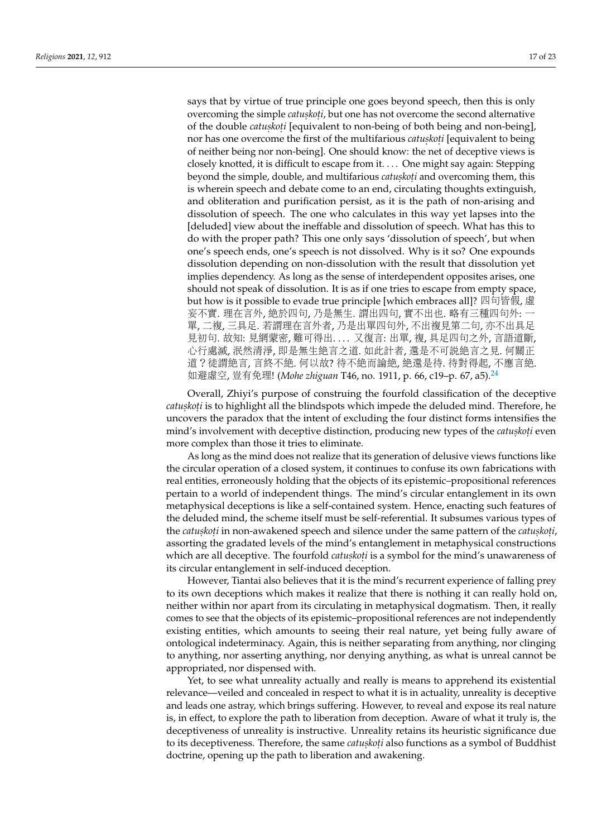says that by virtue of true principle one goes beyond speech, then this is only overcoming the simple *catuskoti*, but one has not overcome the second alternative of the double *catuskoti* [equivalent to non-being of both being and non-being], nor has one overcome the first of the multifarious *catus. kot. i* [equivalent to being of neither being nor non-being]. One should know: the net of deceptive views is closely knotted, it is difficult to escape from it. . . . One might say again: Stepping beyond the simple, double, and multifarious *catuskoti* and overcoming them, this is wherein speech and debate come to an end, circulating thoughts extinguish, and obliteration and purification persist, as it is the path of non-arising and dissolution of speech. The one who calculates in this way yet lapses into the [deluded] view about the ineffable and dissolution of speech. What has this to do with the proper path? This one only says 'dissolution of speech', but when one's speech ends, one's speech is not dissolved. Why is it so? One expounds dissolution depending on non-dissolution with the result that dissolution yet implies dependency. As long as the sense of interdependent opposites arises, one should not speak of dissolution. It is as if one tries to escape from empty space, but how is it possible to evade true principle [which embraces all]? 四句皆假, 虛 妄不實. 理在言外, <sup>絕</sup>於四句, <sup>乃</sup>是無生. <sup>謂</sup>出四句, <sup>實</sup>不出也. 略有三種四句外: <sup>一</sup> <sup>單</sup>, <sup>二</sup>複, <sup>三</sup>具足. <sup>若</sup>謂理在言外者, <sup>乃</sup>是出單四句外, <sup>不</sup>出複見第二句, 亦不出具<sup>足</sup> 見初句. 故知: 見網蒙密, 難可得出. . .. 又復言: 出單, 複, 具足四句之外, 言語道斷, 心行處滅, <sup>泯</sup>然清淨, 即是無生絕言之道. 如此計者, <sup>還</sup>是不可說絕言之見. 何關正 <sup>道</sup>?徒謂絕言, <sup>言</sup>終不絕. 何以故? 待不絕而論絕, <sup>絕</sup>還是待. 待對得起, <sup>不</sup>應言絕. 如避虛空, <sup>豈</sup>有免理! (*Mohe zhiguan* T46, no. 1911, p. 66, c19–p. 67, a5).[24](#page-20-8)

<span id="page-16-0"></span>Overall, Zhiyi's purpose of construing the fourfold classification of the deceptive *catuskoti* is to highlight all the blindspots which impede the deluded mind. Therefore, he uncovers the paradox that the intent of excluding the four distinct forms intensifies the mind's involvement with deceptive distinction, producing new types of the *catuskoti* even more complex than those it tries to eliminate.

As long as the mind does not realize that its generation of delusive views functions like the circular operation of a closed system, it continues to confuse its own fabrications with real entities, erroneously holding that the objects of its epistemic–propositional references pertain to a world of independent things. The mind's circular entanglement in its own metaphysical deceptions is like a self-contained system. Hence, enacting such features of the deluded mind, the scheme itself must be self-referential. It subsumes various types of the *catuskoti* in non-awakened speech and silence under the same pattern of the *catuskoti*, assorting the gradated levels of the mind's entanglement in metaphysical constructions which are all deceptive. The fourfold *catuskoti* is a symbol for the mind's unawareness of its circular entanglement in self-induced deception.

However, Tiantai also believes that it is the mind's recurrent experience of falling prey to its own deceptions which makes it realize that there is nothing it can really hold on, neither within nor apart from its circulating in metaphysical dogmatism. Then, it really comes to see that the objects of its epistemic–propositional references are not independently existing entities, which amounts to seeing their real nature, yet being fully aware of ontological indeterminacy. Again, this is neither separating from anything, nor clinging to anything, nor asserting anything, nor denying anything, as what is unreal cannot be appropriated, nor dispensed with.

Yet, to see what unreality actually and really is means to apprehend its existential relevance—veiled and concealed in respect to what it is in actuality, unreality is deceptive and leads one astray, which brings suffering. However, to reveal and expose its real nature is, in effect, to explore the path to liberation from deception. Aware of what it truly is, the deceptiveness of unreality is instructive. Unreality retains its heuristic significance due to its deceptiveness. Therefore, the same *catuskoti* also functions as a symbol of Buddhist doctrine, opening up the path to liberation and awakening.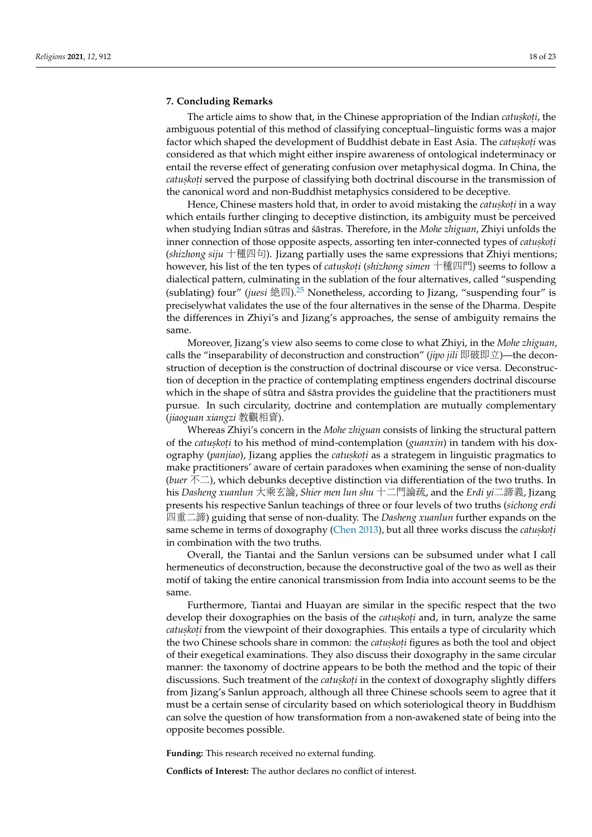#### **7. Concluding Remarks**

The article aims to show that, in the Chinese appropriation of the Indian *catuskoti*, the ambiguous potential of this method of classifying conceptual–linguistic forms was a major factor which shaped the development of Buddhist debate in East Asia. The *catuskoți* was considered as that which might either inspire awareness of ontological indeterminacy or entail the reverse effect of generating confusion over metaphysical dogma. In China, the *catuskoti* served the purpose of classifying both doctrinal discourse in the transmission of the canonical word and non-Buddhist metaphysics considered to be deceptive.

Hence, Chinese masters hold that, in order to avoid mistaking the *catuskoṭi* in a way which entails further clinging to deceptive distinction, its ambiguity must be perceived when studying Indian sūtras and *s*āstras. Therefore, in the *Mohe zhiguan*, Zhiyi unfolds the inner connection of those opposite aspects, assorting ten inter-connected types of *catuskoti* (*shizhong siju* 十種四句). Jizang partially uses the same expressions that Zhiyi mentions; however, his list of the ten types of *catuṣkoṭi (shizhong simen* 十種四門) seems to follow a<br>dialoctical pattern, culminating in the sublation of the four alternatives, called "suspending dialectical pattern, culminating in the sublation of the four alternatives, called "suspending (sublating) four" (*juesi* 絶四).<sup>[25](#page-20-9)</sup> Nonetheless, according to Jizang, "suspending four" is preciselywhat validates the use of the four alternatives in the sense of the Dharma. Despite the differences in Zhiyi's and Jizang's approaches, the sense of ambiguity remains the same.

<span id="page-17-0"></span>Moreover, Jizang's view also seems to come close to what Zhiyi, in the *Mohe zhiguan*, calls the "inseparability of deconstruction and construction" (*jipo jili* 即破即立)—the deconstruction of deception is the construction of doctrinal discourse or vice versa. Deconstruction of deception in the practice of contemplating emptiness engenders doctrinal discourse which in the shape of sūtra and sastra provides the guideline that the practitioners must pursue. In such circularity, doctrine and contemplation are mutually complementary (*jiaoguan xiangzi* <sup>教</sup>觀相資).

Whereas Zhiyi's concern in the *Mohe zhiguan* consists of linking the structural pattern of the *catuskoti* to his method of mind-contemplation (*guanxin*) in tandem with his doxography (panjiao), Jizang applies the *catuskoti* as a strategem in linguistic pragmatics to make practitioners' aware of certain paradoxes when examining the sense of non-duality (*buer* 不二), which debunks deceptive distinction via differentiation of the two truths. In his *Dasheng xuanlun* 大乘玄論, *Shier men lun shu* 十二門論疏, and the *Erdi yi*二諦義, Jizang presents his respective Sanlun teachings of three or four levels of two truths (*sichong erdi* 四重二諦) guiding that sense of non-duality. The *Dasheng xuanlun* further expands on the same scheme in terms of doxography [\(Chen](#page-21-2) [2013\)](#page-21-2), but all three works discuss the *catuskoti* in combination with the two truths.

Overall, the Tiantai and the Sanlun versions can be subsumed under what I call hermeneutics of deconstruction, because the deconstructive goal of the two as well as their motif of taking the entire canonical transmission from India into account seems to be the same.

Furthermore, Tiantai and Huayan are similar in the specific respect that the two develop their doxographies on the basis of the *catuskoti* and, in turn, analyze the same *catuskoti from the viewpoint of their doxographies. This entails a type of circularity which* the two Chinese schools share in common: the *catuskoti* figures as both the tool and object of their exegetical examinations. They also discuss their doxography in the same circular manner: the taxonomy of doctrine appears to be both the method and the topic of their discussions. Such treatment of the *catuskoti* in the context of doxography slightly differs from Jizang's Sanlun approach, although all three Chinese schools seem to agree that it must be a certain sense of circularity based on which soteriological theory in Buddhism can solve the question of how transformation from a non-awakened state of being into the opposite becomes possible.

**Funding:** This research received no external funding.

**Conflicts of Interest:** The author declares no conflict of interest.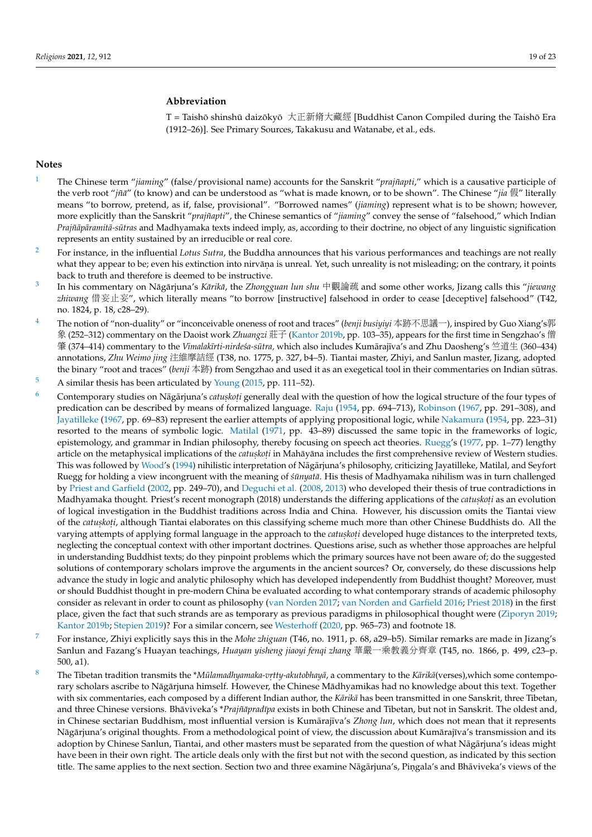### **Abbreviation**

T = Taishō shinshū daizōkyō 大正新脩大藏經 [Buddhist Canon Compiled during the Taishō Era (1912–26)]. See Primary Sources, Takakusu and Watanabe, et al., eds.

#### **Notes**

- <span id="page-18-0"></span>[1](#page-1-0) The Chinese term "*jiaming*" (false/provisional name) accounts for the Sanskrit "*prajñapti*," which is a causative participle of the verb root "*jña¯*" (to know) and can be understood as "what is made known, or to be shown". The Chinese "*jia* 假" literally means "to borrow, pretend, as if, false, provisional". "Borrowed names" (*jiaming*) represent what is to be shown; however, more explicitly than the Sanskrit "*prajñapti*", the Chinese semantics of "*jiaming*" convey the sense of "falsehood," which Indian *Prajñāpāramitā-sūtras* and Madhyamaka texts indeed imply, as, according to their doctrine, no object of any linguistic signification represents an entity sustained by an irreducible or real core.
- <span id="page-18-1"></span><sup>[2](#page-1-1)</sup> For instance, in the influential *Lotus Sutra*, the Buddha announces that his various performances and teachings are not really what they appear to be; even his extinction into nirvāņa is unreal. Yet, such unreality is not misleading; on the contrary, it points back to truth and therefore is deemed to be instructive.
- <span id="page-18-2"></span>[3](#page-1-2) In his commentary on Nāgārjuna's Kārikā, the Zhongguan lun shu 中觀論疏 and some other works, Jizang calls this "*jiewang zhiwang* <sup>借</sup>妄止妄", which literally means "to borrow [instructive] falsehood in order to cease [deceptive] falsehood" (T42, no. 1824, p. 18, c28–29).
- <span id="page-18-3"></span>[4](#page-1-3) The notion of "non-duality" or "inconceivable oneness of root and traces" (*benji busiyiyi* 本跡不思議一), inspired by Guo Xiang's<sup>郭</sup> 象 (252–312) commentary on the Daoist work *Zhuangzi* 莊子 [\(Kantor](#page-22-11) [2019b,](#page-22-11) pp. 103–35), appears for the first time in Sengzhao's 僧 肇 (374–414) commentary to the *Vimalakīrti-nirdeśa-sūtra*, which also includes Kumārajīva's and Zhu Daosheng's 竺道生 (360–434) annotations, *Zhu Weimo jing* 注維摩詰經 (T38, no. 1775, p. 327, b4–5). Tiantai master, Zhiyi, and Sanlun master, Jizang, adopted the binary "root and traces" (*benji* 本跡) from Sengzhao and used it as an exegetical tool in their commentaries on Indian sutras. ¯
- <span id="page-18-4"></span> $5$  A similar thesis has been articulated by [Young](#page-22-12) [\(2015,](#page-22-12) pp. 111–52).
- <span id="page-18-5"></span><sup>[6](#page-3-0)</sup> Contemporary studies on Nāgārjuna's *catuskoti* generally deal with the question of how the logical structure of the four types of predication can be described by means of formalized language. [Raju](#page-22-13) [\(1954,](#page-22-13) pp. 694–713), [Robinson](#page-22-14) [\(1967,](#page-22-14) pp. 291–308), and [Jayatilleke](#page-21-3) [\(1967,](#page-21-3) pp. 69–83) represent the earlier attempts of applying propositional logic, while [Nakamura](#page-22-15) [\(1954,](#page-22-15) pp. 223–31) resorted to the means of symbolic logic. [Matilal](#page-22-16) [\(1971,](#page-22-16) pp. 43–89) discussed the same topic in the frameworks of logic, epistemology, and grammar in Indian philosophy, thereby focusing on speech act theories. [Ruegg'](#page-22-5)s [\(1977,](#page-22-5) pp. 1–77) lengthy article on the metaphysical implications of the *catuskoți* in Mahāyāna includes the first comprehensive review of Western studies. This was followed by [Wood'](#page-22-17)s [\(1994\)](#page-22-17) nihilistic interpretation of Nāgārjuna's philosophy, criticizing Jayatilleke, Matilal, and Seyfort Ruegg for holding a view incongruent with the meaning of *sūnyatā*. His thesis of Madhyamaka nihilism was in turn challenged by [Priest and Garfield](#page-22-18) [\(2002,](#page-22-18) pp. 249–70), and [Deguchi et al.](#page-21-4) [\(2008,](#page-21-4) [2013\)](#page-21-5) who developed their thesis of true contradictions in Madhyamaka thought. Priest's recent monograph (2018) understands the differing applications of the *catuskoți* as an evolution of logical investigation in the Buddhist traditions across India and China. However, his discussion omits the Tiantai view of the *catuskoti,* although Tiantai elaborates on this classifying scheme much more than other Chinese Buddhists do. All the varying attempts of applying formal language in the approach to the *catuskoti* developed huge distances to the interpreted texts, neglecting the conceptual context with other important doctrines. Questions arise, such as whether those approaches are helpful in understanding Buddhist texts; do they pinpoint problems which the primary sources have not been aware of; do the suggested solutions of contemporary scholars improve the arguments in the ancient sources? Or, conversely, do these discussions help advance the study in logic and analytic philosophy which has developed independently from Buddhist thought? Moreover, must or should Buddhist thought in pre-modern China be evaluated according to what contemporary strands of academic philosophy consider as relevant in order to count as philosophy [\(van Norden](#page-22-19) [2017;](#page-22-19) [van Norden and Garfield](#page-22-20) [2016;](#page-22-20) [Priest](#page-22-6) [2018\)](#page-22-6) in the first place, given the fact that such strands are as temporary as previous paradigms in philosophical thought were [\(Ziporyn](#page-22-21) [2019;](#page-22-21) [Kantor](#page-22-11) [2019b;](#page-22-11) [Stepien](#page-22-22) [2019\)](#page-22-22)? For a similar concern, see [Westerhoff](#page-22-23) [\(2020,](#page-22-23) pp. 965–73) and footnote 18.
- <span id="page-18-6"></span>[7](#page-3-1) For instance, Zhiyi explicitly says this in the *Mohe zhiguan* (T46, no. 1911, p. 68, a29–b5). Similar remarks are made in Jizang's Sanlun and Fazang's Huayan teachings, *Huayan yisheng jiaoyi fenqi zhang* <sup>華</sup>嚴一乘教義分齊<sup>章</sup> (T45, no. 1866, p. 499, c23–p. 500, a1).
- <span id="page-18-7"></span><sup>[8](#page-3-2)</sup> The Tibetan tradition transmits the \**Mūlamadhyamaka-vrtty-akutobhayā*, a commentary to the *Kārikā*(verses),which some contemporary scholars ascribe to Nāgārjuna himself. However, the Chinese Mādhyamikas had no knowledge about this text. Together with six commentaries, each composed by a different Indian author, the *Kārikā* has been transmitted in one Sanskrit, three Tibetan, and three Chinese versions. Bhāviveka's \*Prajñāpradīpa exists in both Chinese and Tibetan, but not in Sanskrit. The oldest and, in Chinese sectarian Buddhism, most influential version is Kumārajīva's Zhong lun, which does not mean that it represents Nāgārjuna's original thoughts. From a methodological point of view, the discussion about Kumārajīva's transmission and its adoption by Chinese Sanlun, Tiantai, and other masters must be separated from the question of what Nāgārjuna's ideas might have been in their own right. The article deals only with the first but not with the second question, as indicated by this section title. The same applies to the next section. Section two and three examine Nāgārjuna's, Pingala's and Bhāviveka's views of the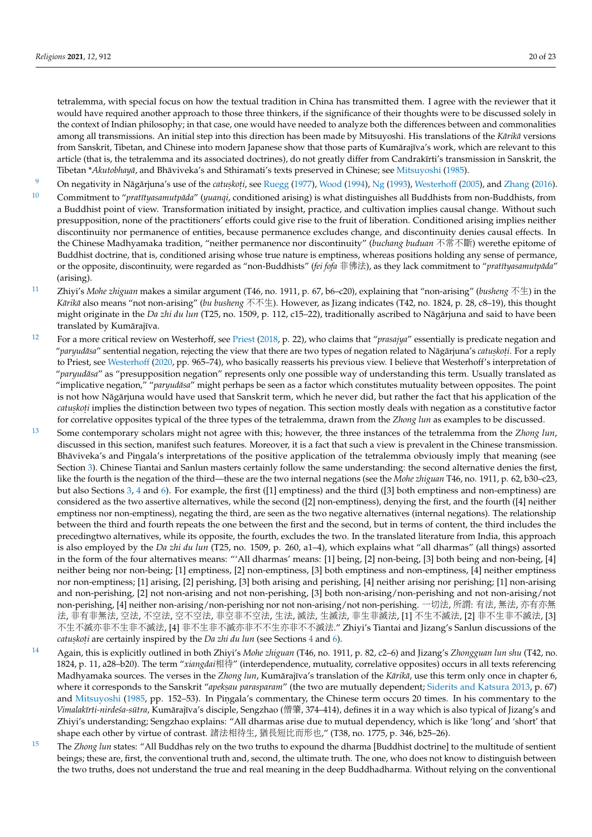tetralemma, with special focus on how the textual tradition in China has transmitted them. I agree with the reviewer that it would have required another approach to those three thinkers, if the significance of their thoughts were to be discussed solely in the context of Indian philosophy; in that case, one would have needed to analyze both the differences between and commonalities among all transmissions. An initial step into this direction has been made by Mitsuyoshi. His translations of the *Kārikā* versions from Sanskrit, Tibetan, and Chinese into modern Japanese show that those parts of Kumārajīva's work, which are relevant to this article (that is, the tetralemma and its associated doctrines), do not greatly differ from Candrakīrti's transmission in Sanskrit, the Tibetan \**Akutobhayā*, and Bhāviveka's and Sthiramati's texts preserved in Chinese; see [Mitsuyoshi](#page-22-24) [\(1985\)](#page-22-24).

- <span id="page-19-0"></span><sup>[9](#page-4-0)</sup> On negativity in Nāgārjuna's use of the *catuskoti,* see [Ruegg](#page-22-5) [\(1977\)](#page-22-5), [Wood](#page-22-17) [\(1994\)](#page-22-17), [Ng](#page-22-25) [\(1993\)](#page-22-25), [Westerhoff](#page-22-7) [\(2005\)](#page-22-7), and [Zhang](#page-22-8) [\(2016\)](#page-22-8).
- <span id="page-19-1"></span><sup>[10](#page-4-1)</sup> Commitment to "*pratītyasamutpāda" (yuanqi*, conditioned arising) is what distinguishes all Buddhists from non-Buddhists, from a Buddhist point of view. Transformation initiated by insight, practice, and cultivation implies causal change. Without such presupposition, none of the practitioners' efforts could give rise to the fruit of liberation. Conditioned arising implies neither discontinuity nor permanence of entities, because permanence excludes change, and discontinuity denies causal effects. In the Chinese Madhyamaka tradition, "neither permanence nor discontinuity" (*buchang buduan* 不常不斷) werethe epitome of Buddhist doctrine, that is, conditioned arising whose true nature is emptiness, whereas positions holding any sense of permance, or the opposite, discontinuity, were regarded as "non-Buddhists" (fei fofa 非佛法), as they lack commitment to "*pratītyasamutpāda*" (arising).
- <span id="page-19-2"></span>[11](#page-4-2) Zhiyi's *Mohe zhiguan* makes a similar argument (T46, no. 1911, p. 67, b6–c20), explaining that "non-arising" (*busheng* <sup>不</sup>生) in the *Kārikā* also means "not non-arising" (*bu busheng* 不不生). However, as Jizang indicates (T42, no. 1824, p. 28, c8–19), this thought might originate in the *Da zhi du lun* (T25, no. 1509, p. 112, c15–22), traditionally ascribed to Nāgārjuna and said to have been translated by Kumārajīva.
- <span id="page-19-3"></span>[12](#page-4-3) For a more critical review on Westerhoff, see [Priest](#page-22-6) [\(2018,](#page-22-6) p. 22), who claims that "*prasajya*" essentially is predicate negation and "*paryudasa ¯* " sentential negation, rejecting the view that there are two types of negation related to Nag¯ arjuna's ¯ *catus. kot. i*. For a reply to Priest, see [Westerhoff](#page-22-23) [\(2020,](#page-22-23) pp. 965–74), who basically reasserts his previous view. I believe that Westerhoff's interpretation of "*paryudasa ¯* " as "presupposition negation" represents only one possible way of understanding this term. Usually translated as "implicative negation," "paryudāsa" might perhaps be seen as a factor which constitutes mutuality between opposites. The point is not how Nāgārjuna would have used that Sanskrit term, which he never did, but rather the fact that his application of the *catuskoti* implies the distinction between two types of negation. This section mostly deals with negation as a constitutive factor for correlative opposites typical of the three types of the tetralemma, drawn from the *Zhong lun* as examples to be discussed.
- <span id="page-19-4"></span>[13](#page-5-0) Some contemporary scholars might not agree with this; however, the three instances of the tetralemma from the *Zhong lun*, discussed in this section, manifest such features. Moreover, it is a fact that such a view is prevalent in the Chinese transmission. Bhāviveka's and Pingala's interpretations of the positive application of the tetralemma obviously imply that meaning (see Section [3\)](#page-6-0). Chinese Tiantai and Sanlun masters certainly follow the same understanding: the second alternative denies the first, like the fourth is the negation of the third—these are the two internal negations (see the *Mohe zhiguan* T46, no. 1911, p. 62, b30–c23, but also Sections [3,](#page-6-0) [4](#page-9-0) and [6\)](#page-14-0). For example, the first ([1] emptiness) and the third ([3] both emptiness and non-emptiness) are considered as the two assertive alternatives, while the second ([2] non-emptiness), denying the first, and the fourth ([4] neither emptiness nor non-emptiness), negating the third, are seen as the two negative alternatives (internal negations). The relationship between the third and fourth repeats the one between the first and the second, but in terms of content, the third includes the precedingtwo alternatives, while its opposite, the fourth, excludes the two. In the translated literature from India, this approach is also employed by the *Da zhi du lun* (T25, no. 1509, p. 260, a1–4), which explains what "all dharmas" (all things) assorted in the form of the four alternatives means: "'All dharmas' means: [1] being, [2] non-being, [3] both being and non-being, [4] neither being nor non-being; [1] emptiness, [2] non-emptiness, [3] both emptiness and non-emptiness, [4] neither emptiness nor non-emptiness; [1] arising, [2] perishing, [3] both arising and perishing, [4] neither arising nor perishing; [1] non-arising and non-perishing, [2] not non-arising and not non-perishing, [3] both non-arising/non-perishing and not non-arising/not non-perishing, [4] neither non-arising/non-perishing nor not non-arising/not non-perishing. <sup>一</sup>切法, 所謂: 有法, <sup>無</sup>法, <sup>亦</sup>有亦<sup>無</sup> <sup>法</sup>, <sup>非</sup>有非無法, <sup>空</sup>法, <sup>不</sup>空法, <sup>空</sup>不空法, <sup>非</sup>空非不空法, 生法, <sup>滅</sup>法, 生滅法, <sup>非</sup>生非滅法, [1] <sup>不</sup>生不滅法, [2] <sup>非</sup>不生非不滅法, [3] <sup>不</sup>生不滅亦非不生非不滅法, [4] <sup>非</sup>不生非不滅亦非不不生亦非不不滅法." Zhiyi's Tiantai and Jizang's Sanlun discussions of the *catuskoti are certainly inspired by the Da zhi du lun (see Sections*  $4$  *and [6\)](#page-14-0).*
- <span id="page-19-5"></span>[14](#page-5-1) Again, this is explicitly outlined in both Zhiyi's *Mohe zhiguan* (T46, no. 1911, p. 82, c2–6) and Jizang's *Zhongguan lun shu* (T42, no. 1824, p. 11, a28–b20). The term "*xiangdai*相待" (interdependence, mutuality, correlative opposites) occurs in all texts referencing Madhyamaka sources. The verses in the *Zhong lun*, Kumārajīva's translation of the *Kārikā*, use this term only once in chapter 6, where it corresponds to the Sanskrit "*apekṣau parasparam*" (the two are mutually dependent; [Siderits and Katsura](#page-22-10) [2013,](#page-22-10) p. 67) and [Mitsuyoshi](#page-22-24) [\(1985,](#page-22-24) pp. 152–53). In Pingala's commentary, the Chinese term occurs 20 times. In his commentary to the *Vimalakīrti-nirdeśa-sūtra,* Kumārajīva's disciple, Sengzhao (僧肇, 374–414), defines it in a way which is also typical of Jizang's and Zhiyi's understanding; Sengzhao explains: "All dharmas arise due to mutual dependency, which is like 'long' and 'short' that shape each other by virtue of contrast. <sup>諸</sup>法相待生, <sup>猶</sup>長短比而形也," (T38, no. 1775, p. 346, b25–26).
- <span id="page-19-6"></span>[15](#page-6-1) The *Zhong lun* states: "All Buddhas rely on the two truths to expound the dharma [Buddhist doctrine] to the multitude of sentient beings; these are, first, the conventional truth and, second, the ultimate truth. The one, who does not know to distinguish between the two truths, does not understand the true and real meaning in the deep Buddhadharma. Without relying on the conventional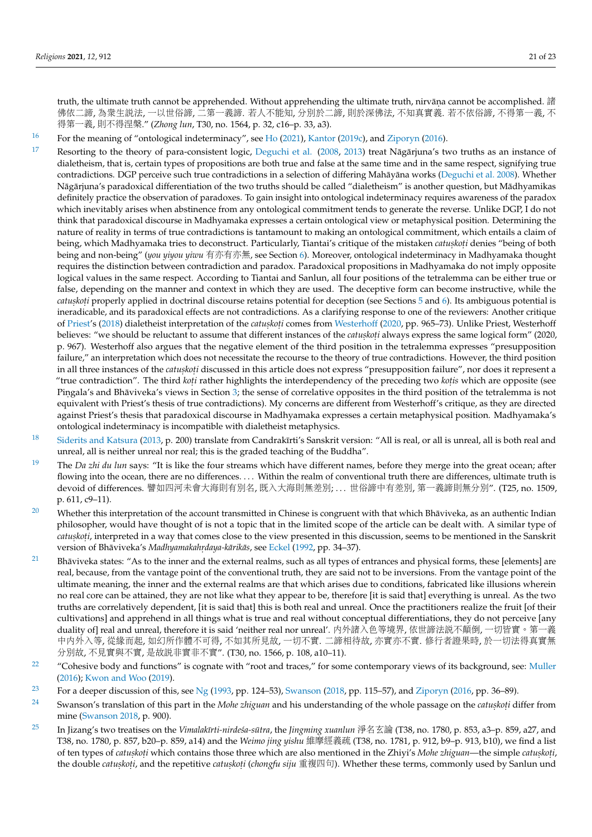truth, the ultimate truth cannot be apprehended. Without apprehending the ultimate truth, nirvāṇa cannot be accomplished. 諸 佛依二諦, <sup>為</sup>眾生說法, 一以世俗諦, <sup>二</sup>第一義諦. <sup>若</sup>人不能知, 分別於二諦, <sup>則</sup>於深佛法, <sup>不</sup>知真實義. <sup>若</sup>不依俗諦, <sup>不</sup>得第一義, <sup>不</sup> 得第一義, <sup>則</sup>不得涅槃." (*Zhong lun*, T30, no. 1564, p. 32, c16–p. 33, a3).

<span id="page-20-0"></span>[16](#page-6-2) For the meaning of "ontological indeterminacy", see [Ho](#page-21-6) [\(2021\)](#page-21-6), [Kantor](#page-22-0) [\(2019c\)](#page-22-0), and [Ziporyn](#page-22-26) [\(2016\)](#page-22-26).

- <span id="page-20-1"></span>[17](#page-6-3) Resorting to the theory of para-consistent logic, [Deguchi et al.](#page-21-4) [\(2008,](#page-21-4) [2013\)](#page-21-5) treat Nāgārjuna's two truths as an instance of dialetheism, that is, certain types of propositions are both true and false at the same time and in the same respect, signifying true contradictions. DGP perceive such true contradictions in a selection of differing Mahāyāna works ([Deguchi et al.](#page-21-4) [2008\)](#page-21-4). Whether Nāgārjuna's paradoxical differentiation of the two truths should be called "dialetheism" is another question, but Mādhyamikas definitely practice the observation of paradoxes. To gain insight into ontological indeterminacy requires awareness of the paradox which inevitably arises when abstinence from any ontological commitment tends to generate the reverse. Unlike DGP, I do not think that paradoxical discourse in Madhyamaka expresses a certain ontological view or metaphysical position. Determining the nature of reality in terms of true contradictions is tantamount to making an ontological commitment, which entails a claim of being, which Madhyamaka tries to deconstruct. Particularly, Tiantai's critique of the mistaken *catuskoti* denies "being of both being and non-being" (*you yiyou yiwu* 有亦有亦無, see Section [6\)](#page-14-0). Moreover, ontological indeterminacy in Madhyamaka thought requires the distinction between contradiction and paradox. Paradoxical propositions in Madhyamaka do not imply opposite logical values in the same respect. According to Tiantai and Sanlun, all four positions of the tetralemma can be either true or false, depending on the manner and context in which they are used. The deceptive form can become instructive, while the *catuskoti* properly applied in doctrinal discourse retains potential for deception (see Sections [5](#page-12-0) and [6\)](#page-14-0). Its ambiguous potential is ineradicable, and its paradoxical effects are not contradictions. As a clarifying response to one of the reviewers: Another critique of [Priest'](#page-22-6)s [\(2018\)](#page-22-6) dialetheist interpretation of the *catuskoti* comes from [Westerhoff](#page-22-23) [\(2020,](#page-22-23) pp. 965–73). Unlike Priest, Westerhoff believes: "we should be reluctant to assume that different instances of the *catuskoți* always express the same logical form" (2020, p. 967). Westerhoff also argues that the negative element of the third position in the tetralemma expresses "presupposition failure," an interpretation which does not necessitate the recourse to the theory of true contradictions. However, the third position in all three instances of the *catuskoti* discussed in this article does not express "presupposition failure", nor does it represent a "true contradiction". The third *koti* rather highlights the interdependency of the preceding two *kotis* which are opposite (see Pingala's and Bhāviveka's views in Section [3;](#page-6-0) the sense of correlative opposites in the third position of the tetralemma is not equivalent with Priest's thesis of true contradictions). My concerns are different from Westerhoff's critique, as they are directed against Priest's thesis that paradoxical discourse in Madhyamaka expresses a certain metaphysical position. Madhyamaka's ontological indeterminacy is incompatible with dialetheist metaphysics.
- <span id="page-20-2"></span><sup>[18](#page-6-4)</sup> [Siderits and Katsura](#page-22-10) [\(2013,](#page-22-10) p. 200) translate from Candrakīrti's Sanskrit version: "All is real, or all is unreal, all is both real and unreal, all is neither unreal nor real; this is the graded teaching of the Buddha".
- <span id="page-20-3"></span>[19](#page-7-0) The *Da zhi du lun* says: "It is like the four streams which have different names, before they merge into the great ocean; after flowing into the ocean, there are no differences. . . . Within the realm of conventional truth there are differences, ultimate truth is devoid of differences. <sup>譬</sup>如四河未會大海則有別名, <sup>既</sup>入大海則無差別; . . . <sup>世</sup>俗諦中有差別, <sup>第</sup>一義諦則無分別". (T25, no. 1509, p. 611, c9–11).
- <span id="page-20-4"></span><sup>[20](#page-8-0)</sup> Whether this interpretation of the account transmitted in Chinese is congruent with that which Bhaviveka, as an authentic Indian philosopher, would have thought of is not a topic that in the limited scope of the article can be dealt with. A similar type of *catuskoti,* interpreted in a way that comes close to the view presented in this discussion, seems to be mentioned in the Sanskrit version of Bhāviveka's *Madhyamakahrdaya-kārikās*, see [Eckel](#page-21-7) [\(1992,](#page-21-7) pp. 34–37).
- <span id="page-20-5"></span><sup>[21](#page-9-1)</sup> Bhāviveka states: "As to the inner and the external realms, such as all types of entrances and physical forms, these [elements] are real, because, from the vantage point of the conventional truth, they are said not to be inversions. From the vantage point of the ultimate meaning, the inner and the external realms are that which arises due to conditions, fabricated like illusions wherein no real core can be attained, they are not like what they appear to be, therefore [it is said that] everything is unreal. As the two truths are correlatively dependent, [it is said that] this is both real and unreal. Once the practitioners realize the fruit [of their cultivations] and apprehend in all things what is true and real without conceptual differentiations, they do not perceive [any duality of] real and unreal, therefore it is said 'neither real nor unreal'. <sup>內</sup>外諸入色等境界, 依世諦法說不顛倒, <sup>一</sup>切皆實。第一<sup>義</sup> <sup>中</sup>內外入等, 從緣而起, 如幻所作體不可得, <sup>不</sup>如其所見故, <sup>一</sup>切不實. <sup>二</sup>諦相待故, <sup>亦</sup>實亦不實. 修行者證果時, <sup>於</sup>一切法得真實<sup>無</sup> 分別故, <sup>不</sup>見實與不實, <sup>是</sup>故說非實非不實". (T30, no. 1566, p. 108, a10–11).
- <span id="page-20-6"></span><sup>[22](#page-10-0)</sup> "Cohesive body and functions" is cognate with "root and traces," for some contemporary views of its background, see: [Muller](#page-22-27) [\(2016\)](#page-22-27); [Kwon and Woo](#page-22-28) [\(2019\)](#page-22-28).
- <span id="page-20-7"></span><sup>[23](#page-13-0)</sup> For a deeper discussion of this, see [Ng](#page-22-25) [\(1993,](#page-22-25) pp. 124–53), [Swanson](#page-22-29) [\(2018,](#page-22-29) pp. 115–57), and [Ziporyn](#page-22-26) [\(2016,](#page-22-26) pp. 36–89).
- <span id="page-20-8"></span><sup>[24](#page-16-0)</sup> Swanson's translation of this part in the *Mohe zhiguan* and his understanding of the whole passage on the *catuskoti* differ from mine [\(Swanson](#page-22-29) [2018,](#page-22-29) p. 900).
- <span id="page-20-9"></span><sup>[25](#page-17-0)</sup> In Jizang's two treatises on the *Vimalakīrti-nirdeśa-sūtra*, the *Jingming xuanlun* 淨名玄論 (T38, no. 1780, p. 853, a3-p. 859, a27, and T38, no. 1780, p. 857, b20–p. 859, a14) and the *Weimo jing yishu* <sup>維</sup>摩經義疏 (T38, no. 1781, p. 912, b9–p. 913, b10), we find a list of ten types of *catuskoti* which contains those three which are also mentioned in the Zhiyi's *Mohe zhiguan*—the simple *catuskoti*, the double *catuskoti,* and the repetitive *catuskoti (chongfu siju* 重複四句). Whether these terms, commonly used by Sanlun und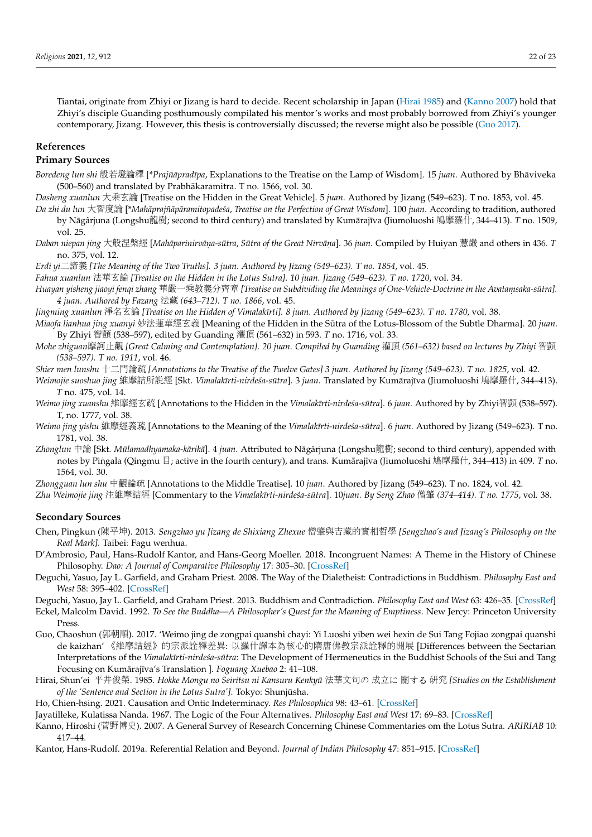Tiantai, originate from Zhiyi or Jizang is hard to decide. Recent scholarship in Japan [\(Hirai](#page-21-8) [1985\)](#page-21-8) and [\(Kanno](#page-21-9) [2007\)](#page-21-9) hold that Zhiyi's disciple Guanding posthumously compilated his mentor's works and most probably borrowed from Zhiyi's younger contemporary, Jizang. However, this thesis is controversially discussed; the reverse might also be possible [\(Guo](#page-21-10) [2017\)](#page-21-10).

#### **References**

### **Primary Sources**

*Boredeng lun shi* 般若燈論釋 [\**Prajñāpradīpa*, Explanations to the Treatise on the Lamp of Wisdom]. 15 *juan*. Authored by Bhāviveka (500–560) and translated by Prabhākaramitra. T no. 1566, vol. 30.

*Dasheng xuanlun* 大乘玄<sup>論</sup> [Treatise on the Hidden in the Great Vehicle]. 5 *juan*. Authored by Jizang (549–623). T no. 1853, vol. 45.

- Da zhi du lun 大智度論 [\*Mahāprajñāpāramitopadeśa, Treatise on the Perfection of Great Wisdom]. 100 juan. According to tradition, authored by Nāgârjuna (Longshu龍樹; second to third century) and translated by Kumārajīva (Jiumoluoshi 鳩摩羅什, 344–413). *T* no. 1509, vol. 25.
- Daban niepan jing 大般涅槃經 [Mahāparinirvāṇa-sūtra, Sūtra of the Great Nirvāṇa]. 36 juan. Compiled by Huiyan 慧嚴 and others in 436. T<br>. 235 xol. 12 no. 375, vol. 12.
- *Erdi yi*二諦義 *[The Meaning of the Two Truths]. 3 juan. Authored by Jizang (549–623). T no. 1854*, vol. 45.

*Fahua xuanlun* 法華玄論 *[Treatise on the Hidden in the Lotus Sutra]. 10 juan. Jizang (549–623). T no. 1720*, vol. 34.

*Huayan yisheng jiaoyi fenqi zhang* <sup>華</sup>嚴一乘教義分齊<sup>章</sup> *[Treatise on Subdividing the Meanings of One-Vehicle-Doctrine in the Avatam. saka-sutra]. ¯ 4 juan. Authored by Fazang* 法藏 *(643–712). T no. 1866*, vol. 45.

*Jingming xuanlun* 淨名玄論 *[Treatise on the Hidden of Vimalak¯ırti]. 8 juan. Authored by Jizang (549–623). T no. 1780*, vol. 38.

*Miaofa lianhua jing xuanyi* 妙法蓮華經玄義 [Meaning of the Hidden in the Sūtra of the Lotus-Blossom of the Subtle Dharma]. 20 *juan*. By Zhiyi 智顗 (538–597), edited by Guanding 灌頂 (561–632) in 593. *T* no. 1716, vol. 33.

*Mohe zhiguan*摩訶止觀 *[Great Calming and Contemplation]. 20 juan. Compiled by Guanding* <sup>灌</sup><sup>頂</sup> *(561–632) based on lectures by Zhiyi* <sup>智</sup><sup>顗</sup> *(538–597). T no. 1911*, vol. 46.

*Shier men lunshu* 十二門論疏 *[Annotations to the Treatise of the Twelve Gates] 3 juan. Authored by Jizang (549–623). T no. 1825*, vol. 42.

Weimojie suoshuo jing 維摩詰所説經 [Skt. *Vimalakīrti-nirdeśa-sūtra*]. 3 *juan*. Translated by Kumārajīva (Jiumoluoshi 鳩摩羅什, 344–413). *T* no. 475, vol. 14.

- Weimo jing xuanshu 維摩經玄疏 [Annotations to the Hidden in the *Vimalakīrti-nirdeśa-sūtra*]. 6 *juan*. Authored by by Zhiyi智顗 (538–597). T, no. 1777, vol. 38.
- *Weimo jing yishu* 維摩經義疏 [Annotations to the Meaning of the *Vimalakīrti-nirdeśa-sūtra*]. 6 *juan*. Authored by Jizang (549–623). T no. 1781, vol. 38.
- Zhonglun 中論 [Skt. Mūlamadhyamaka-kārikā]. 4 *juan*. Attributed to Nāgârjuna (Longshu龍樹; second to third century), appended with notes by Pingala (Qingmu  $\exists$ ; active in the fourth century), and trans. Kumārajīva (Jiumoluoshi 鳩摩羅什, 344–413) in 409. *T* no. 1564, vol. 30.

*Zhongguan lun shu* <sup>中</sup>觀論疏 [Annotations to the Middle Treatise]. 10 *juan*. Authored by Jizang (549–623). T no. 1824, vol. 42.

Zhu Weimojie jing 注維摩詰經 [Commentary to the *Vimalakīrti-nirdeśa-sūtra*]. 10*juan. By Seng Zhao* 僧肇 (374–414). T no. 1775, vol. 38.

#### **Secondary Sources**

- <span id="page-21-2"></span>Chen, Pingkun (陳平坤). 2013. *Sengzhao yu Jizang de Shixiang Zhexue* <sup>僧</sup>肇與吉藏的實相哲<sup>學</sup> *[Sengzhao's and Jizang's Philosophy on the Real Mark]*. Taibei: Fagu wenhua.
- <span id="page-21-0"></span>D'Ambrosio, Paul, Hans-Rudolf Kantor, and Hans-Georg Moeller. 2018. Incongruent Names: A Theme in the History of Chinese Philosophy. *Dao: A Journal of Comparative Philosophy* 17: 305–30. [\[CrossRef\]](http://doi.org/10.1007/s11712-018-9618-6)
- <span id="page-21-4"></span>Deguchi, Yasuo, Jay L. Garfield, and Graham Priest. 2008. The Way of the Dialetheist: Contradictions in Buddhism. *Philosophy East and West* 58: 395–402. [\[CrossRef\]](http://doi.org/10.1353/pew.0.0011)

<span id="page-21-5"></span>Deguchi, Yasuo, Jay L. Garfield, and Graham Priest. 2013. Buddhism and Contradiction. *Philosophy East and West* 63: 426–35. [\[CrossRef\]](http://doi.org/10.1353/pew.2013.0038)

- <span id="page-21-7"></span>Eckel, Malcolm David. 1992. *To See the Buddha—A Philosopher's Quest for the Meaning of Emptiness*. New Jercy: Princeton University Press.
- <span id="page-21-10"></span>Guo, Chaoshun (郭朝順). 2017. 'Weimo jing de zongpai quanshi chayi: Yi Luoshi yiben wei hexin de Sui Tang Fojiao zongpai quanshi de kaizhan' 《維摩詰經》的宗派詮釋差異: <sup>以</sup>羅什譯本為核心的隋唐佛教宗派詮釋的開<sup>展</sup> [Differences between the Sectarian Interpretations of the *Vimalakīrti-nirdeśa-sūtra*: The Development of Hermeneutics in the Buddhist Schools of the Sui and Tang Focusing on Kumārajīva's Translation ]. *Foguang Xuebao* 2: 41-108.
- <span id="page-21-8"></span>Hirai, Shun'ei <sup>平</sup>井俊榮. 1985. *Hokke Mongu no Seiritsu ni Kansuru Kenkyu¯* <sup>法</sup>華文句<sup>の</sup> 成立<sup>に</sup> <sup>關</sup>する <sup>研</sup><sup>究</sup> *[Studies on the Establishment of the 'Sentence and Section in the Lotus Sutra']*. Tokyo: Shunjusha. ¯

<span id="page-21-6"></span>Ho, Chien-hsing. 2021. Causation and Ontic Indeterminacy. *Res Philosophica* 98: 43–61. [\[CrossRef\]](http://doi.org/10.11612/resphil.1992)

<span id="page-21-3"></span>Jayatilleke, Kulatissa Nanda. 1967. The Logic of the Four Alternatives. *Philosophy East and West* 17: 69–83. [\[CrossRef\]](http://doi.org/10.2307/1397046)

<span id="page-21-9"></span>Kanno, Hiroshi (菅野博史). 2007. A General Survey of Research Concerning Chinese Commentaries om the Lotus Sutra. *ARIRIAB* 10: 417–44.

<span id="page-21-1"></span>Kantor, Hans-Rudolf. 2019a. Referential Relation and Beyond. *Journal of Indian Philosophy* 47: 851–915. [\[CrossRef\]](http://doi.org/10.1007/s10781-017-9319-1)